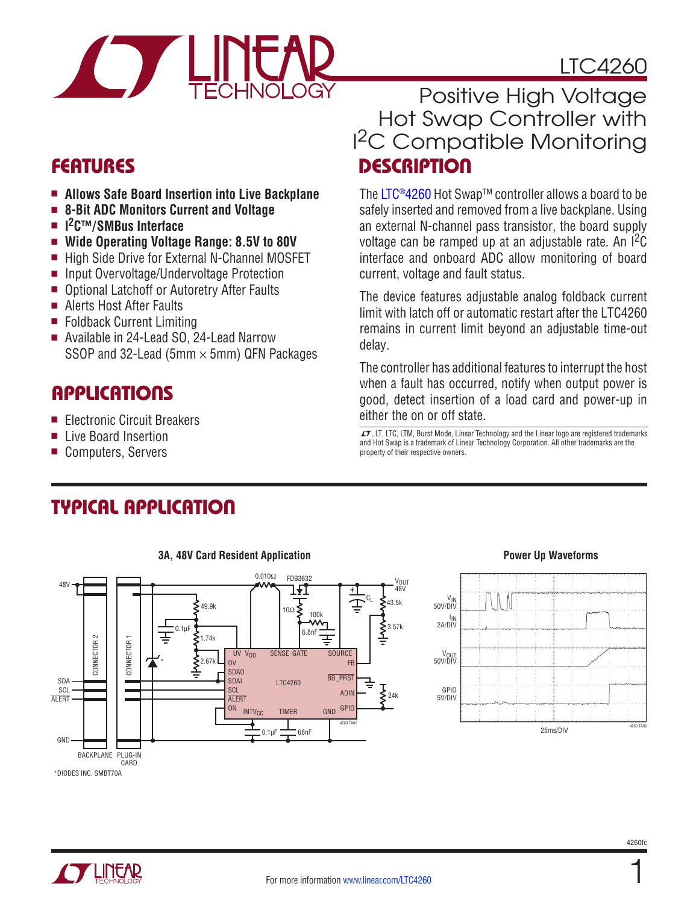

# LTC4260

- $\blacksquare$  **Allows Safe Board Insertion into Live Backplane**
- 8-Bit ADC Monitors Current and Voltage
- I<sup>2</sup>C™/SMBus Interface
- Wide Operating Voltage Range: 8.5V to 80V
- High Side Drive for External N-Channel MOSFET
- Input Overvoltage/Undervoltage Protection
- Optional Latchoff or Autoretry After Faults
- Alerts Host After Faults
- Foldback Current Limiting
- Available in 24-Lead SO, 24-Lead Narrow SSOP and 32-Lead (5mm  $\times$  5mm) QFN Packages

### **APPLICATIONS**

- Electronic Circuit Breakers
- **n** Live Board Insertion
- Computers, Servers

### Features Description Positive High Voltage Hot Swap Controller with I 2C Compatible Monitoring

The [LTC®4260](http://www.linear.com/product/LTC4260) Hot Swap™ controller allows a board to be safely inserted and removed from a live backplane. Using an external N-channel pass transistor, the board supply voltage can be ramped up at an adjustable rate. An  ${}^{12}C$ interface and onboard ADC allow monitoring of board current, voltage and fault status.

The device features adjustable analog foldback current limit with latch off or automatic restart after the LTC4260 remains in current limit beyond an adjustable time-out delay.

The controller has additional features to interrupt the host when a fault has occurred, notify when output power is good, detect insertion of a load card and power-up in either the on or off state.

 $\sigma$ , LT, LTC, LTM, Burst Mode, Linear Technology and the Linear logo are registered trademarks and Hot Swap is a trademark of Linear Technology Corporation. All other trademarks are the property of their respective owners.

### Typical Application



#### **3A, 48V Card Resident Application Power Up Waveforms**



1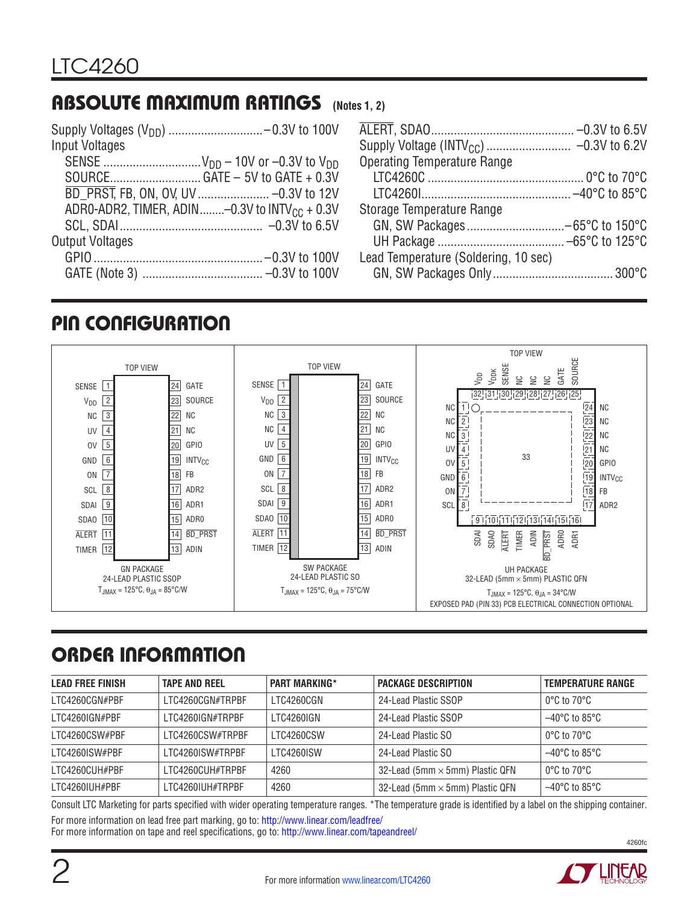## Absolute Maximum Ratings **(Notes 1, 2)**

| Input Voltages         |                                                            |
|------------------------|------------------------------------------------------------|
|                        |                                                            |
|                        |                                                            |
|                        |                                                            |
|                        | ADRO-ADR2, TIMER, ADIN -0.3V to INTV $_{\text{CC}}$ + 0.3V |
|                        |                                                            |
| <b>Output Voltages</b> |                                                            |
|                        |                                                            |
|                        |                                                            |

| Operating Temperature Range          |  |
|--------------------------------------|--|
|                                      |  |
|                                      |  |
| Storage Temperature Range            |  |
|                                      |  |
|                                      |  |
| Lead Temperature (Soldering, 10 sec) |  |
|                                      |  |
|                                      |  |

### pin configuration



# Order Information

| <b>LEAD FREE FINISH</b> | <b>TAPE AND REEL</b> | <b>PART MARKING*</b> | <b>PACKAGE DESCRIPTION</b>             | <b>TEMPERATURE RANGE</b>           |
|-------------------------|----------------------|----------------------|----------------------------------------|------------------------------------|
| LTC4260CGN#PBF          | LTC4260CGN#TRPRF     | LTC4260CGN           | 24-Lead Plastic SSOP                   | $0^{\circ}$ C to 70 $^{\circ}$ C   |
| I TC4260IGN#PBF         | LTC4260IGN#TRPBF     | LTC4260IGN           | 24-Lead Plastic SSOP                   | $-40^{\circ}$ C to 85°C            |
| LTC4260CSW#PBF          | LTC4260CSW#TRPRF     | <b>I TC4260CSW</b>   | 24-Lead Plastic SO                     | $0^{\circ}$ C to 70 $^{\circ}$ C   |
| LTC4260ISW#PBF          | LTC4260ISW#TRPBF     | <b>I TC4260ISW</b>   | 24-Lead Plastic SO                     | $-40^{\circ}$ C to 85°C            |
| LTC4260CUH#PBF          | LTC4260CUH#TRPBF     | 4260                 | 32-Lead (5mm $\times$ 5mm) Plastic QFN | $0^{\circ}$ C to 70 $^{\circ}$ C   |
| LTC4260IUH#PBF          | LTC4260IUH#TRPBF     | 4260                 | 32-Lead (5mm $\times$ 5mm) Plastic QFN | $-40^{\circ}$ C to 85 $^{\circ}$ C |

Consult LTC Marketing for parts specified with wider operating temperature ranges. \*The temperature grade is identified by a label on the shipping container. For more information on lead free part marking, go to: http://www.linear.com/leadfree/

For more information on tape and reel specifications, go to: http://www.linear.com/tapeandreel/

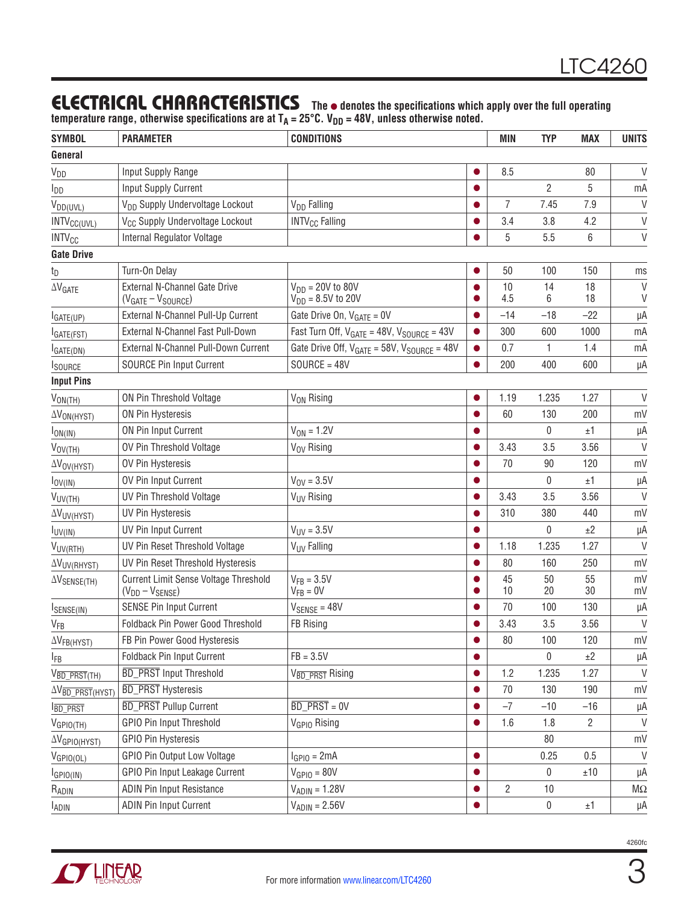### **ELECTRICAL CHARACTERISTICS** The  $\bullet$  denotes the specifications which apply over the full operating

temperature range, otherwise specifications are at T<sub>A</sub> = 25°C. V<sub>DD</sub> = 48V, unless otherwise noted.

| <b>SYMBOL</b>                          | <b>PARAMETER</b>                            | <b>CONDITIONS</b>                                     |           | MIN            | <b>TYP</b>     | <b>MAX</b>     | <b>UNITS</b>       |  |
|----------------------------------------|---------------------------------------------|-------------------------------------------------------|-----------|----------------|----------------|----------------|--------------------|--|
| General                                |                                             |                                                       |           |                |                |                |                    |  |
| <b>V</b> <sub>DD</sub>                 | Input Supply Range                          |                                                       |           | 8.5            |                | 80             | V                  |  |
| <b>I</b> <sub>DD</sub>                 | <b>Input Supply Current</b>                 |                                                       |           |                | $\overline{2}$ | 5              | mA                 |  |
| $V_{DD(UVL)}$                          | V <sub>DD</sub> Supply Undervoltage Lockout | V <sub>DD</sub> Falling                               |           | $\overline{7}$ | 7.45           | 7.9            | $\vee$             |  |
| INTV <sub>CC(UVL)</sub>                | V <sub>CC</sub> Supply Undervoltage Lockout | <b>INTV<sub>CC</sub></b> Falling                      |           | 3.4            | 3.8            | 4.2            | $\vee$             |  |
| <b>INTV<sub>CC</sub></b>               | Internal Regulator Voltage                  |                                                       |           | 5              | 5.5            | 6              | $\vee$             |  |
| <b>Gate Drive</b>                      |                                             |                                                       |           |                |                |                |                    |  |
| tp                                     | Turn-On Delay                               |                                                       |           | 50             | 100            | 150            | ms                 |  |
| $\Delta V$ GATE                        | External N-Channel Gate Drive               | $V_{DD} = 20V$ to 80V                                 |           | 10             | 14             | 18             | V                  |  |
|                                        | $(VGATE - VSOURCE)$                         | $V_{DD} = 8.5V$ to 20V                                |           | 4.5            | 6              | 18             | V                  |  |
| GATE(UP)                               | External N-Channel Pull-Up Current          | Gate Drive On, $V_{GATE} = 0V$                        |           | $-14$          | $-18$          | $-22$          | μA                 |  |
| GATE(FST)                              | External N-Channel Fast Pull-Down           | Fast Turn Off, $V_{GATE} = 48V$ , $V_{SOURCE} = 43V$  |           | 300            | 600            | 1000           | mA                 |  |
| GATE(DN)                               | External N-Channel Pull-Down Current        | Gate Drive Off, $V_{GATE} = 58V$ , $V_{SOURCE} = 48V$ |           | 0.7            | 1              | 1.4            | mA                 |  |
| <b>I</b> SOURCE                        | <b>SOURCE Pin Input Current</b>             | $SOURCE = 48V$                                        |           | 200            | 400            | 600            | μA                 |  |
| <b>Input Pins</b>                      |                                             |                                                       |           |                |                |                |                    |  |
| $V_{ON(TH)}$                           | ON Pin Threshold Voltage                    | V <sub>ON</sub> Rising                                |           | 1.19           | 1.235          | 1.27           | $\vee$             |  |
| $\Delta V_{ON(HYST)}$                  | ON Pin Hysteresis                           |                                                       |           | 60             | 130            | 200            | mV                 |  |
| $I_{ON(1N)}$                           | ON Pin Input Current                        | $V_{ON} = 1.2V$                                       |           |                | $\mathbf{0}$   | ±1             | μA                 |  |
| $V_{OV(TH)}$                           | OV Pin Threshold Voltage                    | V <sub>OV</sub> Rising                                |           | 3.43           | 3.5            | 3.56           | $\vee$             |  |
| $\Delta V_{\text{OV(HYST)}}$           | OV Pin Hysteresis                           |                                                       |           | 70             | 90             | 120            | mV                 |  |
| $I_{\text{OV(IN)}}$                    | OV Pin Input Current                        | $V_{\text{OV}} = 3.5V$                                |           |                | 0              | ±1             | μA                 |  |
| $V_{UV(TH)}$                           | UV Pin Threshold Voltage                    | V <sub>UV</sub> Rising                                |           | 3.43           | 3.5            | 3.56           | $\vee$             |  |
| $\Delta V_{UV(HYST)}$                  | <b>UV Pin Hysteresis</b>                    |                                                       |           | 310            | 380            | 440            | mV                 |  |
| $I_{UV(1N)}$                           | UV Pin Input Current                        | $V_{UV} = 3.5V$                                       |           |                | 0              | ±2             | μA                 |  |
| V <sub>UV(RTH)</sub>                   | UV Pin Reset Threshold Voltage              | V <sub>UV</sub> Falling                               |           | 1.18           | 1.235          | 1.27           | $\vee$             |  |
| <b>AVUV(RHYST)</b>                     | UV Pin Reset Threshold Hysteresis           |                                                       |           | 80             | 160            | 250            | mV                 |  |
| $\Delta V$ SENSE(TH)                   | Current Limit Sense Voltage Threshold       | $V_{FB} = 3.5V$                                       |           | 45             | 50             | 55             | mV                 |  |
|                                        | $(V_{DD} - V_{SENSE})$                      | $V_{FB} = 0V$                                         |           | 10             | 20             | 30             | mV                 |  |
| SENSE(IN)                              | <b>SENSE Pin Input Current</b>              | $V_{SENSE} = 48V$                                     |           | 70             | 100            | 130            | μA                 |  |
| V <sub>FB</sub>                        | Foldback Pin Power Good Threshold           | FB Rising                                             |           | 3.43           | 3.5            | 3.56           | $\vee$             |  |
| $\Delta V_{FB(HYST)}$                  | FB Pin Power Good Hysteresis                |                                                       | $\bullet$ | 80             | 100            | 120            | mV                 |  |
| <b>IFB</b>                             | Foldback Pin Input Current                  | $FB = 3.5V$                                           | $\bullet$ |                | $\mathbf{0}$   | ±2             | μA                 |  |
| $V_{\overline{BD\_PRST}}(TH)$          | <b>BD_PRST</b> Input Threshold              | V <sub>BD</sub> PRST Rising                           | $\bullet$ | 1.2            | 1.235          | 1.27           | $\vee$             |  |
| $\Delta V_{\overline{BD\_PRST}(HYST)}$ | <b>BD_PRST</b> Hysteresis                   |                                                       | $\bullet$ | 70             | 130            | 190            | mV                 |  |
| <b>BD_PRST</b>                         | <b>BD_PRST Pullup Current</b>               | $\overline{BD\_PRST} = 0V$                            |           | $-7$           | $-10$          | $-16$          | μA                 |  |
| $V_{GPIO(TH)}$                         | <b>GPIO Pin Input Threshold</b>             | V <sub>GPIO</sub> Rising                              | $\bullet$ | 1.6            | 1.8            | $\overline{2}$ | $\vee$             |  |
| $\Delta V_{GPIO(HYST)}$                | <b>GPIO Pin Hysteresis</b>                  |                                                       |           |                | 80             |                | mV                 |  |
| $V_{GPIO(OL)}$                         | GPIO Pin Output Low Voltage                 | $IGPIO = 2mA$                                         | $\bullet$ |                | 0.25           | 0.5            | $\vee$             |  |
| $I_{GPIO(IN)}$                         | GPIO Pin Input Leakage Current              | $V_{GPIO} = 80V$                                      | $\bullet$ |                | 0              | $\pm 10$       | μA                 |  |
| RADIN                                  | <b>ADIN Pin Input Resistance</b>            | $V_{ADIN} = 1.28V$                                    |           | $\overline{2}$ | 10             |                | $\mathsf{M}\Omega$ |  |
| $I_{ADIN}$                             | <b>ADIN Pin Input Current</b>               | $V_{ADIN} = 2.56V$                                    | $\bullet$ |                | $\pmb{0}$      | ±1             | μA                 |  |
|                                        |                                             |                                                       |           |                |                |                |                    |  |



3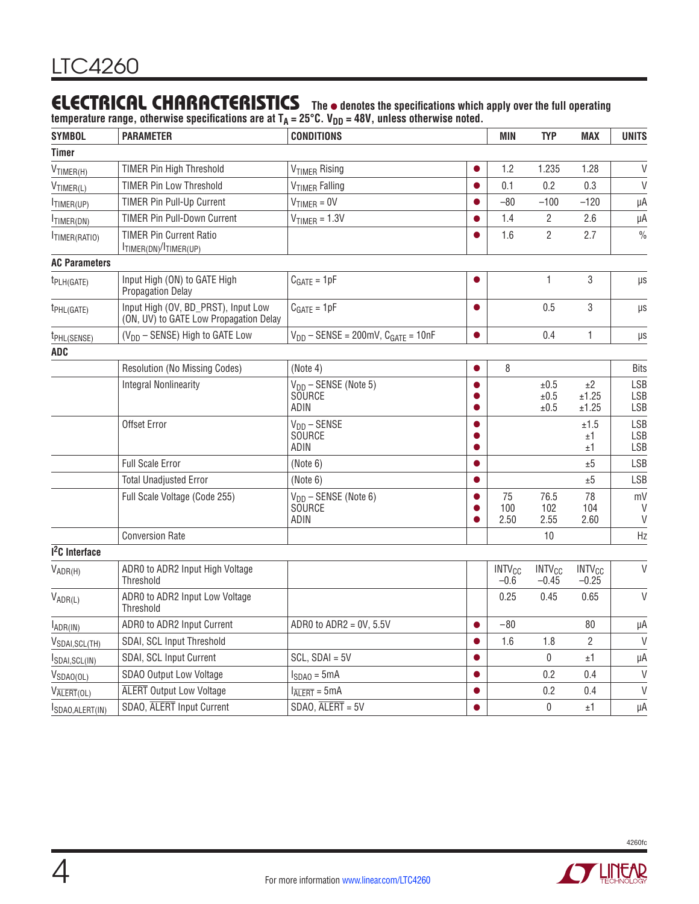### **ELECTRICAL CHARACTERISTICS** The  $\bullet$  denotes the specifications which apply over the full operating

temperature range, otherwise specifications are at T<sub>A</sub> = 25°C. V<sub>DD</sub> = 48V, unless otherwise noted.

| <b>SYMBOL</b>                     | <b>PARAMETER</b>                                                              | <b>CONDITIONS</b>                                  | <b>MIN</b> | <b>TYP</b>                         | <b>MAX</b>                          | <b>UNITS</b>                        |                          |
|-----------------------------------|-------------------------------------------------------------------------------|----------------------------------------------------|------------|------------------------------------|-------------------------------------|-------------------------------------|--------------------------|
| <b>Timer</b>                      |                                                                               |                                                    |            |                                    |                                     |                                     |                          |
| $V$ TIMER(H)                      | <b>TIMER Pin High Threshold</b>                                               | V <sub>TIMER</sub> Rising                          |            | 1.2                                | 1.235                               | 1.28                                | $\vee$                   |
| $V_{TIMER(L)}$                    | <b>TIMER Pin Low Threshold</b>                                                | V <sub>TIMER</sub> Falling                         |            | 0.1                                | 0.2                                 | 0.3                                 | $\vee$                   |
| TIMER(UP)                         | TIMER Pin Pull-Up Current                                                     | $V_{TIMER} = 0V$                                   |            | $-80$                              | $-100$                              | $-120$                              | μA                       |
| TIMER(DN)                         | <b>TIMER Pin Pull-Down Current</b>                                            | $V_{TIMER} = 1.3V$                                 |            | 1.4                                | 2                                   | 2.6                                 | μA                       |
| TIMER(RATIO)                      | <b>TIMER Pin Current Ratio</b><br>ITIMER(DN)/ITIMER(UP)                       |                                                    |            | 1.6                                | $\mathbf{2}$                        | 2.7                                 | $\frac{0}{0}$            |
| <b>AC Parameters</b>              |                                                                               |                                                    |            |                                    |                                     |                                     |                          |
| $t_{PLH(GATE)}$                   | Input High (ON) to GATE High<br><b>Propagation Delay</b>                      | $C_{GATE} = 1pF$                                   |            |                                    | $\mathbf{1}$                        | 3                                   | μs                       |
| t <sub>PHL(GATE)</sub>            | Input High (OV, BD_PRST), Input Low<br>(ON, UV) to GATE Low Propagation Delay | $C_{GATE} = 1pF$                                   |            |                                    | 0.5                                 | 3                                   | μs                       |
| t <sub>PHL(SENSE)</sub>           | (V <sub>DD</sub> - SENSE) High to GATE Low                                    | $V_{DD}$ – SENSE = 200mV, $C_{GATE}$ = 10nF        | $\bullet$  |                                    | 0.4                                 | $\mathbf{1}$                        | μs                       |
| <b>ADC</b>                        |                                                                               |                                                    |            |                                    |                                     |                                     |                          |
|                                   | Resolution (No Missing Codes)                                                 | (Note 4)                                           |            | 8                                  |                                     |                                     | <b>Bits</b>              |
|                                   | <b>Integral Nonlinearity</b>                                                  | $V_{DD}$ – SENSE (Note 5)<br><b>SOURCE</b><br>ADIN |            |                                    | ±0.5<br>$\pm 0.5$<br>±0.5           | ±2<br>±1.25<br>±1.25                | LSB<br>LSB<br>LSB        |
|                                   | Offset Error                                                                  | $V_{DD}$ – SENSE<br><b>SOURCE</b><br>ADIN          |            |                                    |                                     | ±1.5<br>±1<br>±1                    | LSB<br><b>LSB</b><br>LSB |
|                                   | Full Scale Error                                                              | (Note 6)                                           |            |                                    |                                     | ±5                                  | <b>LSB</b>               |
|                                   | <b>Total Unadjusted Error</b>                                                 | (Note 6)                                           |            |                                    |                                     | ±5                                  | LSB                      |
|                                   | Full Scale Voltage (Code 255)                                                 | $V_{DD}$ – SENSE (Note 6)<br>SOURCE<br>ADIN        |            | 75<br>100<br>2.50                  | 76.5<br>102<br>2.55                 | 78<br>104<br>2.60                   | mV<br>V<br>$\vee$        |
|                                   | <b>Conversion Rate</b>                                                        |                                                    |            |                                    | 10                                  |                                     | Hz                       |
| 1 <sup>2</sup> C Interface        |                                                                               |                                                    |            |                                    |                                     |                                     |                          |
| $V_{ADR(H)}$                      | ADR0 to ADR2 Input High Voltage<br>Threshold                                  |                                                    |            | <b>INTV<sub>CC</sub></b><br>$-0.6$ | <b>INTV<sub>CC</sub></b><br>$-0.45$ | <b>INTV<sub>CC</sub></b><br>$-0.25$ | $\vee$                   |
| $V_{ADR(L)}$                      | ADR0 to ADR2 Input Low Voltage<br>Threshold                                   |                                                    |            | 0.25                               | 0.45                                | 0.65                                | $\vee$                   |
| $I_{ADR(IN)}$                     | ADR0 to ADR2 Input Current                                                    | ADR0 to $ADR2 = 0V$ , 5.5V                         | $\bullet$  | $-80$                              |                                     | 80                                  | μA                       |
| V <sub>SDAI, SCL(TH)</sub>        | SDAI, SCL Input Threshold                                                     |                                                    |            | 1.6                                | 1.8                                 | $\overline{2}$                      | $\mathsf{V}$             |
| SDAI, SCL(IN)                     | SDAI, SCL Input Current                                                       | $SCL$ , $SDAI = 5V$                                |            |                                    | 0                                   | ±1                                  | μA                       |
| $V_{SDAO(OL)}$                    | SDAO Output Low Voltage                                                       | $I_{SDAO} = 5mA$                                   |            |                                    | 0.2                                 | 0.4                                 | $\vee$                   |
| $V_{\overline{\text{ALERT}}(OL)}$ | <b>ALERT</b> Output Low Voltage                                               | $I_{\overline{ALERT}} = 5mA$                       |            |                                    | 0.2                                 | 0.4                                 | $\vee$                   |
| SDAO, ALERT(IN)                   | SDAO, ALERT Input Current                                                     | $SDAO$ , $\overline{ALERT} = 5V$                   | Q          |                                    | 0                                   | ±1                                  | μA                       |

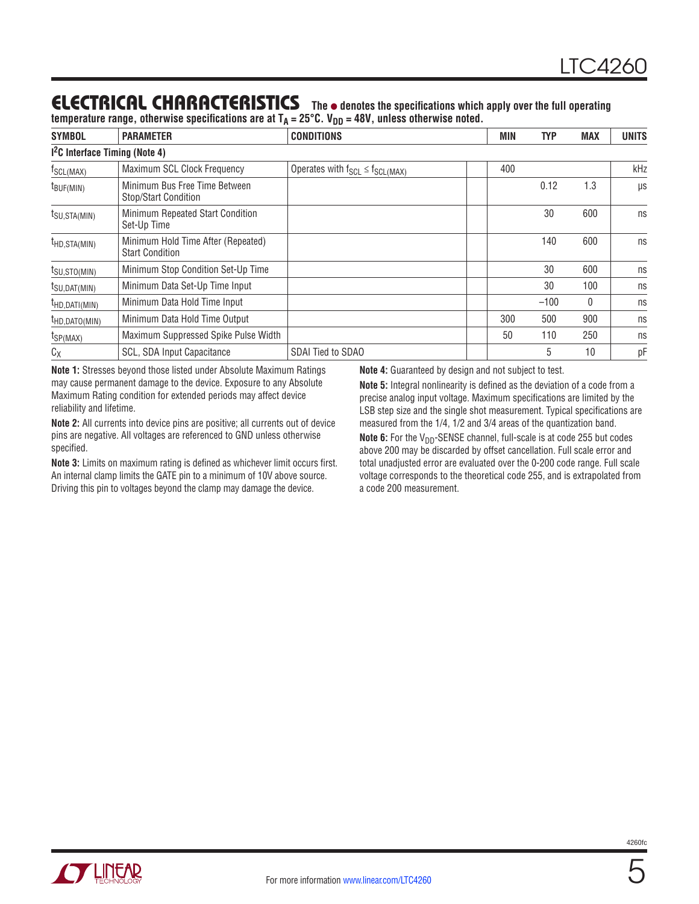### **ELECTRICAL CHARACTERISTICS** The  $\bullet$  denotes the specifications which apply over the full operating

temperature range, otherwise specifications are at T<sub>A</sub> = 25°C. V<sub>DD</sub> = 48V, unless otherwise noted.

| <b>SYMBOL</b>                             | <b>PARAMETER</b>                                             | <b>CONDITIONS</b>                         |  | <b>MIN</b><br><b>TYP</b> | <b>MAX</b> | <b>UNITS</b> |  |  |  |  |  |
|-------------------------------------------|--------------------------------------------------------------|-------------------------------------------|--|--------------------------|------------|--------------|--|--|--|--|--|
| <sup>12</sup> C Interface Timing (Note 4) |                                                              |                                           |  |                          |            |              |  |  |  |  |  |
| f <sub>SCL(MAX)</sub>                     | Maximum SCL Clock Frequency                                  | Operates with $f_{SCL} \leq f_{SCL(MAX)}$ |  | 400                      |            | kHz          |  |  |  |  |  |
| $t_{\text{BUF(MIN)}}$                     | Minimum Bus Free Time Between<br>Stop/Start Condition        |                                           |  | 0.12                     | 1.3        | μs           |  |  |  |  |  |
| $t_{\text{SU,STA(MIN)}}$                  | Minimum Repeated Start Condition<br>Set-Up Time              |                                           |  | 30                       | 600        | ns           |  |  |  |  |  |
| $t_{HD,STA(MIN)}$                         | Minimum Hold Time After (Repeated)<br><b>Start Condition</b> |                                           |  | 140                      | 600        | ns           |  |  |  |  |  |
| $t_{\text{SU,STO(MIN)}}$                  | Minimum Stop Condition Set-Up Time                           |                                           |  | 30                       | 600        | ns           |  |  |  |  |  |
| $t_{\text{SU,DAT(MIN)}}$                  | Minimum Data Set-Up Time Input                               |                                           |  | 30                       | 100        | ns           |  |  |  |  |  |
| $t_{HD, DATI(MIN)}$                       | Minimum Data Hold Time Input                                 |                                           |  | $-100$                   | 0          | ns           |  |  |  |  |  |
| $t_{HD, DATO(MIN)}$                       | Minimum Data Hold Time Output                                |                                           |  | 300<br>500               | 900        | ns           |  |  |  |  |  |
| $t_{SP(MAX)}$                             | Maximum Suppressed Spike Pulse Width                         |                                           |  | 50<br>110                | 250        | ns           |  |  |  |  |  |
| $C_X$                                     | SCL, SDA Input Capacitance                                   | SDAI Tied to SDAO                         |  | 5                        | 10         | pF           |  |  |  |  |  |

**Note 1:** Stresses beyond those listed under Absolute Maximum Ratings may cause permanent damage to the device. Exposure to any Absolute Maximum Rating condition for extended periods may affect device reliability and lifetime.

**Note 2:** All currents into device pins are positive; all currents out of device pins are negative. All voltages are referenced to GND unless otherwise specified.

**Note 3:** Limits on maximum rating is defined as whichever limit occurs first. An internal clamp limits the GATE pin to a minimum of 10V above source. Driving this pin to voltages beyond the clamp may damage the device.

**Note 4:** Guaranteed by design and not subject to test.

**Note 5:** Integral nonlinearity is defined as the deviation of a code from a precise analog input voltage. Maximum specifications are limited by the LSB step size and the single shot measurement. Typical specifications are measured from the 1/4, 1/2 and 3/4 areas of the quantization band.

Note 6: For the V<sub>DD</sub>-SENSE channel, full-scale is at code 255 but codes above 200 may be discarded by offset cancellation. Full scale error and total unadjusted error are evaluated over the 0-200 code range. Full scale voltage corresponds to the theoretical code 255, and is extrapolated from a code 200 measurement.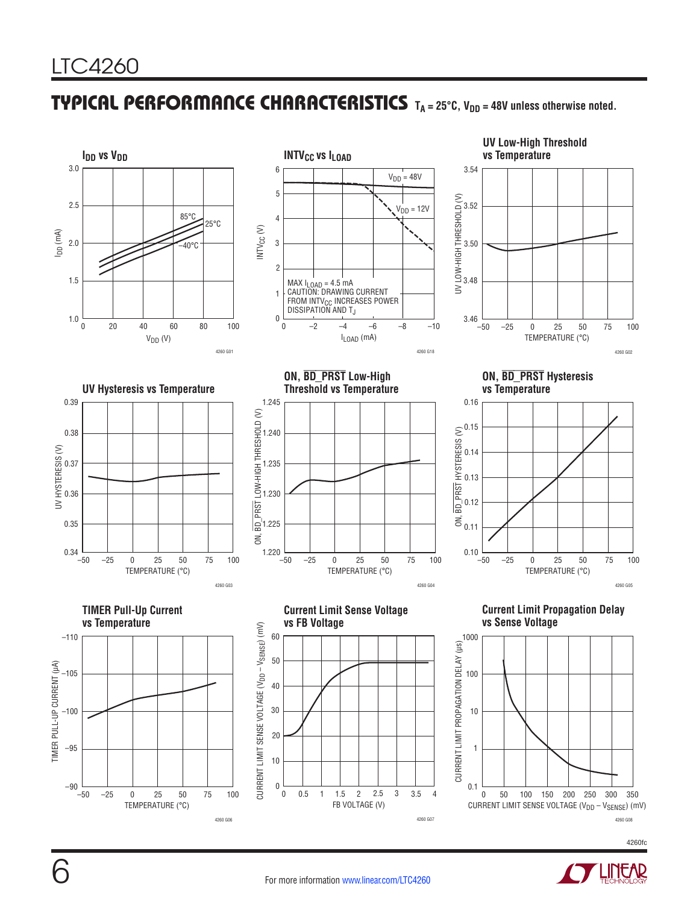### TYPICAL PERFORMANCE CHARACTERISTICS TA = 25°C, V<sub>DD</sub> = 48V unless otherwise noted.



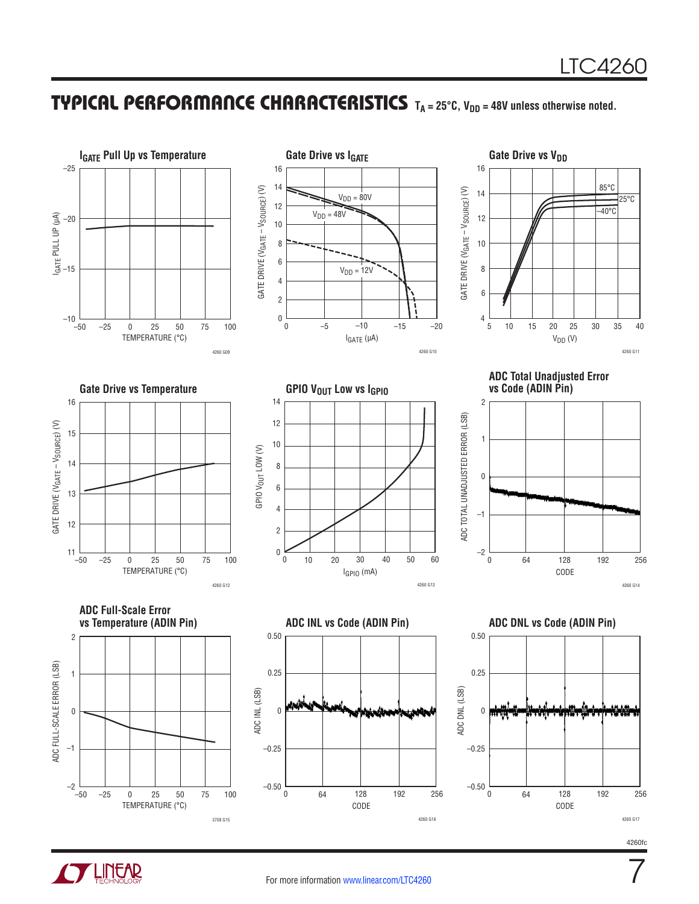### **TYPICAL PERFORMANCE CHARACTERISTICS** TA = 25°C, V<sub>DD</sub> = 48V unless otherwise noted.





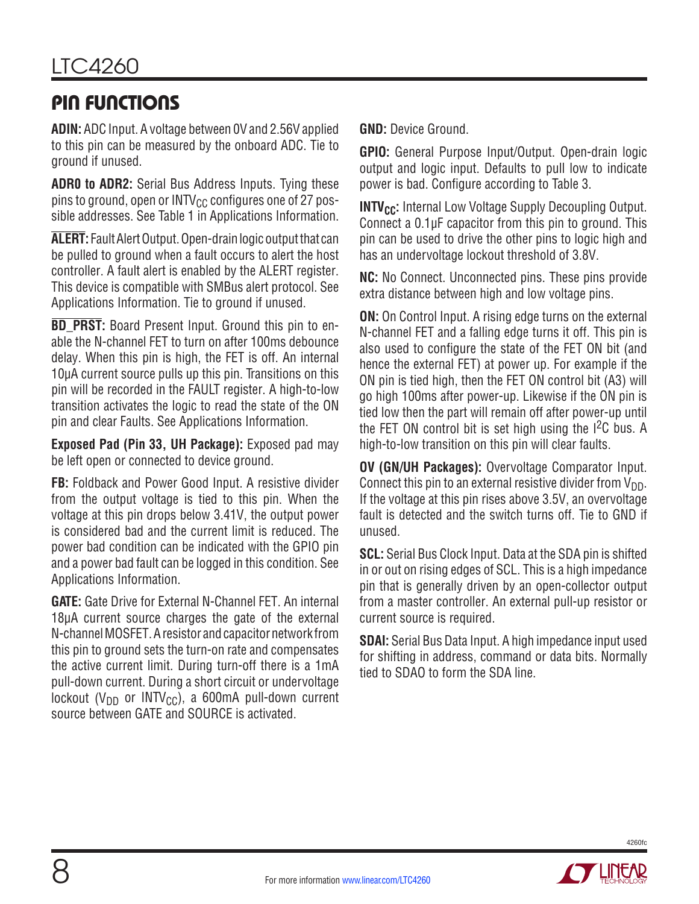### Pin Functions

**ADIN:** ADC Input. A voltage between 0V and 2.56V applied to this pin can be measured by the onboard ADC. Tie to ground if unused.

**ADR0 to ADR2:** Serial Bus Address Inputs. Tying these pins to ground, open or INTV $_{\text{CC}}$  configures one of 27 possible addresses. See Table 1 in Applications Information.

**ALERT:** FaultAlertOutput. Open-drainlogicoutputthat can be pulled to ground when a fault occurs to alert the host controller. A fault alert is enabled by the ALERT register. This device is compatible with SMBus alert protocol. See Applications Information. Tie to ground if unused.

**BD\_PRST:** Board Present Input. Ground this pin to enable the N-channel FET to turn on after 100ms debounce delay. When this pin is high, the FET is off. An internal 10µA current source pulls up this pin. Transitions on this pin will be recorded in the FAULT register. A high-to-low transition activates the logic to read the state of the ON pin and clear Faults. See Applications Information.

**Exposed Pad (Pin 33, UH Package):** Exposed pad may be left open or connected to device ground.

**FB:** Foldback and Power Good Input. A resistive divider from the output voltage is tied to this pin. When the voltage at this pin drops below 3.41V, the output power is considered bad and the current limit is reduced. The power bad condition can be indicated with the GPIO pin and a power bad fault can be logged in this condition. See Applications Information.

**GATE:** Gate Drive for External N-Channel FET. An internal 18µA current source charges the gate of the external N-channel MOSFET. A resistor and capacitor network from this pin to ground sets the turn-on rate and compensates the active current limit. During turn-off there is a 1mA pull-down current. During a short circuit or undervoltage lockout ( $V_{DD}$  or INTV<sub>CC</sub>), a 600mA pull-down current source between GATE and SOURCE is activated.

**GND:** Device Ground.

**GPIO:** General Purpose Input/Output. Open-drain logic output and logic input. Defaults to pull low to indicate power is bad. Configure according to Table 3.

**INTV<sub>CC</sub>:** Internal Low Voltage Supply Decoupling Output. Connect a 0.1µF capacitor from this pin to ground. This pin can be used to drive the other pins to logic high and has an undervoltage lockout threshold of 3.8V.

**NC:** No Connect. Unconnected pins. These pins provide extra distance between high and low voltage pins.

**ON:** On Control Input. A rising edge turns on the external N-channel FET and a falling edge turns it off. This pin is also used to configure the state of the FET ON bit (and hence the external FET) at power up. For example if the ON pin is tied high, then the FET ON control bit (A3) will go high 100ms after power-up. Likewise if the ON pin is tied low then the part will remain off after power-up until the FET ON control bit is set high using the  $I^2C$  bus. A high-to-low transition on this pin will clear faults.

**OV (GN/UH Packages):** Overvoltage Comparator Input. Connect this pin to an external resistive divider from  $V_{DD}$ . If the voltage at this pin rises above 3.5V, an overvoltage fault is detected and the switch turns off. Tie to GND if unused.

**SCL:** Serial Bus Clock Input. Data at the SDA pin is shifted in or out on rising edges of SCL. This is a high impedance pin that is generally driven by an open-collector output from a master controller. An external pull-up resistor or current source is required.

**SDAI:** Serial Bus Data Input. A high impedance input used for shifting in address, command or data bits. Normally tied to SDAO to form the SDA line.

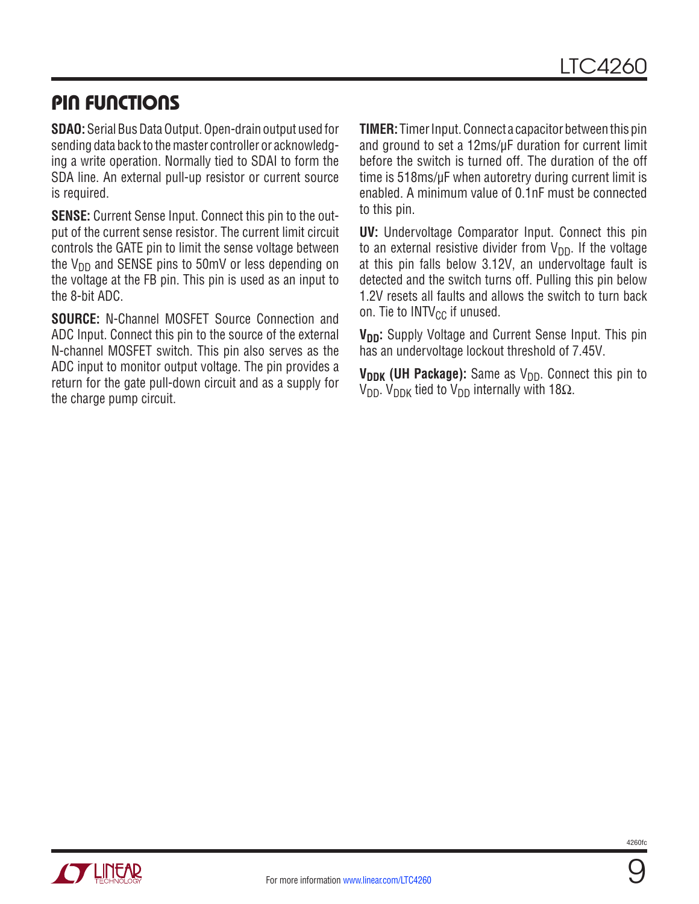### Pin Functions

**SDAO:** Serial Bus Data Output. Open-drain output used for sending data back to the master controller or acknowledging a write operation. Normally tied to SDAI to form the SDA line. An external pull-up resistor or current source is required.

**SENSE:** Current Sense Input. Connect this pin to the output of the current sense resistor. The current limit circuit controls the GATE pin to limit the sense voltage between the  $V_{DD}$  and SENSE pins to 50mV or less depending on the voltage at the FB pin. This pin is used as an input to the 8-bit ADC.

**SOURCE:** N-Channel MOSFET Source Connection and ADC Input. Connect this pin to the source of the external N-channel MOSFET switch. This pin also serves as the ADC input to monitor output voltage. The pin provides a return for the gate pull-down circuit and as a supply for the charge pump circuit.

**TIMER:** Timer Input. Connect a capacitor between this pin and ground to set a 12ms/µF duration for current limit before the switch is turned off. The duration of the off time is 518ms/µF when autoretry during current limit is enabled. A minimum value of 0.1nF must be connected to this pin.

**UV:** Undervoltage Comparator Input. Connect this pin to an external resistive divider from  $V_{DD}$ . If the voltage at this pin falls below 3.12V, an undervoltage fault is detected and the switch turns off. Pulling this pin below 1.2V resets all faults and allows the switch to turn back on. Tie to  $INTV_{CC}$  if unused.

**V<sub>DD</sub>:** Supply Voltage and Current Sense Input. This pin has an undervoltage lockout threshold of 7.45V.

**V<sub>DDK</sub> (UH Package):** Same as V<sub>DD</sub>. Connect this pin to V<sub>DD</sub>. V<sub>DDK</sub> tied to V<sub>DD</sub> internally with 18Ω.

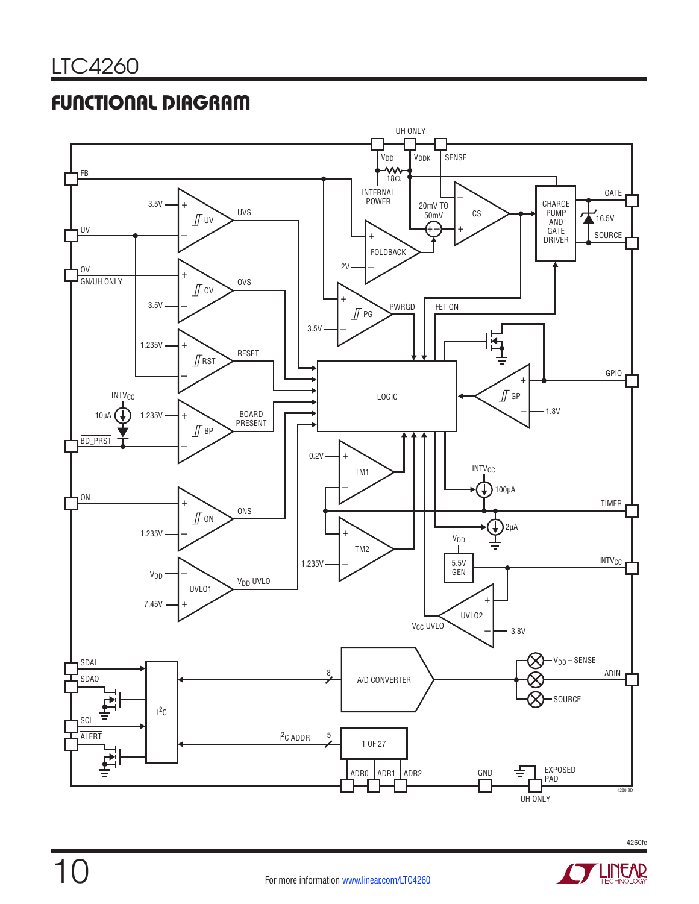## functional Diagram





**STARTED BY LINEAR**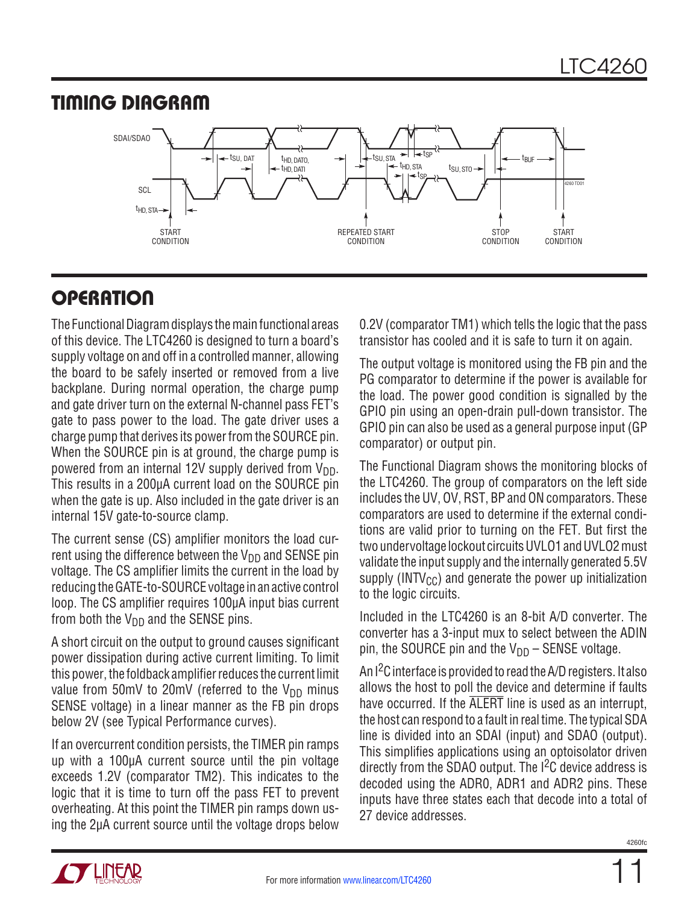### timing Diagram



# **OPERATION**

The Functional Diagram displays the main functional areas of this device. The LTC4260 is designed to turn a board's supply voltage on and off in a controlled manner, allowing the board to be safely inserted or removed from a live backplane. During normal operation, the charge pump and gate driver turn on the external N-channel pass FET's gate to pass power to the load. The gate driver uses a charge pump that derives its power from the SOURCE pin. When the SOURCE pin is at ground, the charge pump is powered from an internal 12V supply derived from  $V_{DD}$ . This results in a 200µA current load on the SOURCE pin when the gate is up. Also included in the gate driver is an internal 15V gate-to-source clamp.

The current sense (CS) amplifier monitors the load current using the difference between the  $V_{DD}$  and SENSE pin voltage. The CS amplifier limits the current in the load by reducing the GATE-to-SOURCE voltage in an active control loop. The CS amplifier requires 100µA input bias current from both the  $V_{DD}$  and the SENSE pins.

A short circuit on the output to ground causes significant power dissipation during active current limiting. To limit this power, the foldback amplifier reduces the current limit value from 50mV to 20mV (referred to the  $V_{DD}$  minus SENSE voltage) in a linear manner as the FB pin drops below 2V (see Typical Performance curves).

If an overcurrent condition persists, the TIMER pin ramps up with a 100µA current source until the pin voltage exceeds 1.2V (comparator TM2). This indicates to the logic that it is time to turn off the pass FET to prevent overheating. At this point the TIMER pin ramps down using the 2µA current source until the voltage drops below

0.2V (comparator TM1) which tells the logic that the pass transistor has cooled and it is safe to turn it on again.

The output voltage is monitored using the FB pin and the PG comparator to determine if the power is available for the load. The power good condition is signalled by the GPIO pin using an open-drain pull-down transistor. The GPIO pin can also be used as a general purpose input (GP comparator) or output pin.

The Functional Diagram shows the monitoring blocks of the LTC4260. The group of comparators on the left side includes the UV, OV, RST, BP and ON comparators. These comparators are used to determine if the external conditions are valid prior to turning on the FET. But first the two undervoltage lockout circuits UVLO1 and UVLO2 must validate the input supply and the internally generated 5.5V supply ( $INTV_{CC}$ ) and generate the power up initialization to the logic circuits.

Included in the LTC4260 is an 8-bit A/D converter. The converter has a 3-input mux to select between the ADIN pin, the SOURCE pin and the  $V_{DD}$  – SENSE voltage.

An  $1^2C$  interface is provided to read the A/D registers. It also allows the host to poll the device and determine if faults have occurred. If the ALERT line is used as an interrupt, the host can respond to a fault in real time. The typical SDA line is divided into an SDAI (input) and SDAO (output). This simplifies applications using an optoisolator driven directly from the SDAO output. The  $1<sup>2</sup>C$  device address is decoded using the ADR0, ADR1 and ADR2 pins. These inputs have three states each that decode into a total of 27 device addresses.



11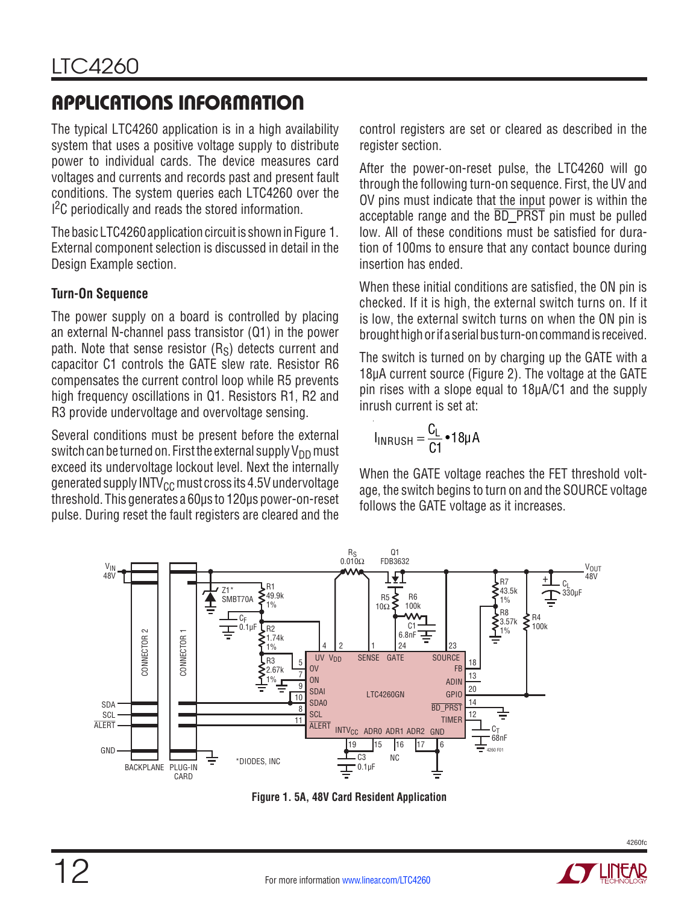The typical LTC4260 application is in a high availability system that uses a positive voltage supply to distribute power to individual cards. The device measures card voltages and currents and records past and present fault conditions. The system queries each LTC4260 over the <sup>2</sup>C periodically and reads the stored information.

The basic LTC4260 application circuit is shown in Figure 1. External component selection is discussed in detail in the Design Example section.

### **Turn-On Sequence**

The power supply on a board is controlled by placing an external N-channel pass transistor (Q1) in the power path. Note that sense resistor  $(R<sub>S</sub>)$  detects current and capacitor C1 controls the GATE slew rate. Resistor R6 compensates the current control loop while R5 prevents high frequency oscillations in Q1. Resistors R1, R2 and R3 provide undervoltage and overvoltage sensing.

Several conditions must be present before the external switch can be turned on. First the external supply  $V_{DD}$  must exceed its undervoltage lockout level. Next the internally generated supply INTV $_{\text{CC}}$  must cross its 4.5V undervoltage threshold. This generates a 60µs to 120µs power-on-reset pulse. During reset the fault registers are cleared and the

control registers are set or cleared as described in the register section.

After the power-on-reset pulse, the LTC4260 will go through the following turn-on sequence. First, the UV and OV pins must indicate that the input power is within the acceptable range and the  $\overline{BD}$  PRST pin must be pulled low. All of these conditions must be satisfied for duration of 100ms to ensure that any contact bounce during insertion has ended.

When these initial conditions are satisfied, the ON pin is checked. If it is high, the external switch turns on. If it is low, the external switch turns on when the ON pin is brought high or if a serial bus turn-on command is received.

The switch is turned on by charging up the GATE with a 18µA current source (Figure 2). The voltage at the GATE pin rises with a slope equal to 18µA/C1 and the supply inrush current is set at:

$$
I_{\text{INRUSH}} = \frac{C_{\text{L}}}{C1} \cdot 18 \mu \text{A}
$$

When the GATE voltage reaches the FET threshold voltage, the switch begins to turn on and the SOURCE voltage follows the GATE voltage as it increases.



**Figure 1. 5A, 48V Card Resident Application**

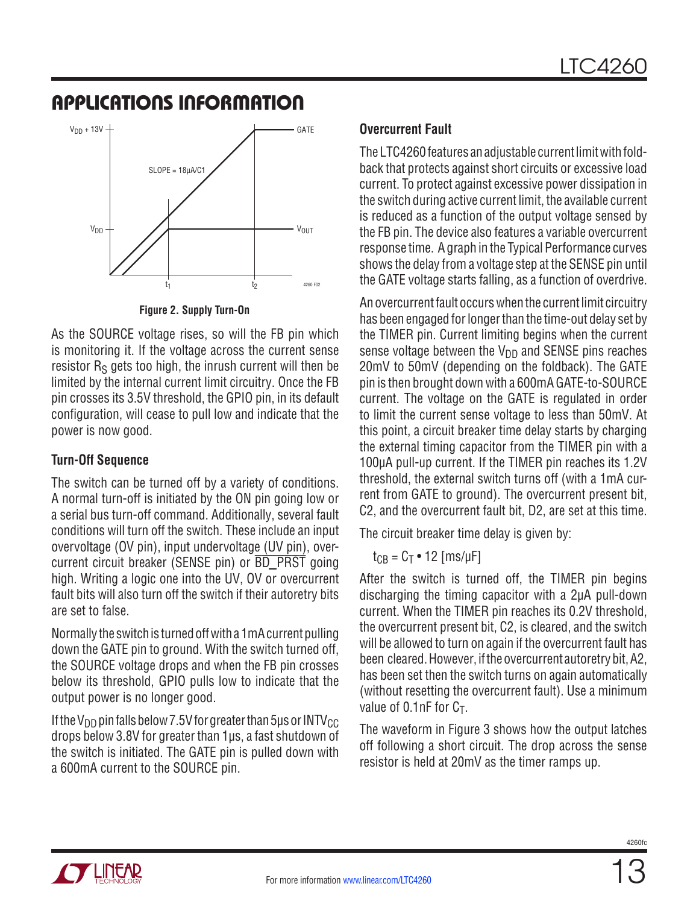

**Figure 2. Supply Turn-On**

As the SOURCE voltage rises, so will the FB pin which is monitoring it. If the voltage across the current sense resistor  $R<sub>S</sub>$  gets too high, the inrush current will then be limited by the internal current limit circuitry. Once the FB pin crosses its 3.5V threshold, the GPIO pin, in its default configuration, will cease to pull low and indicate that the power is now good.

#### **Turn-Off Sequence**

The switch can be turned off by a variety of conditions. A normal turn-off is initiated by the ON pin going low or a serial bus turn-off command. Additionally, several fault conditions will turn off the switch. These include an input overvoltage (OV pin), input undervoltage (UV pin), overcurrent circuit breaker (SENSE pin) or  $\overline{BD}$  PRST going high. Writing a logic one into the UV, OV or overcurrent fault bits will also turn off the switch if their autoretry bits are set to false.

Normally the switch is turned off with a 1mA current pulling down the GATE pin to ground. With the switch turned off, the SOURCE voltage drops and when the FB pin crosses below its threshold, GPIO pulls low to indicate that the output power is no longer good.

If the V<sub>DD</sub> pin falls below 7.5V for greater than 5µs or INTV<sub>CC</sub> drops below 3.8V for greater than 1µs, a fast shutdown of the switch is initiated. The GATE pin is pulled down with a 600mA current to the SOURCE pin.

### **Overcurrent Fault**

The LTC4260 features an adjustable current limit with foldback that protects against short circuits or excessive load current. To protect against excessive power dissipation in the switch during active current limit, the available current is reduced as a function of the output voltage sensed by the FB pin. The device also features a variable overcurrent response time. A graph in the Typical Performance curves shows the delay from a voltage step at the SENSE pin until the GATE voltage starts falling, as a function of overdrive.

An overcurrent fault occurs when the current limit circuitry has been engaged for longer than the time-out delay set by the TIMER pin. Current limiting begins when the current sense voltage between the  $V_{DD}$  and SENSE pins reaches 20mV to 50mV (depending on the foldback). The GATE pin is then brought down with a 600mA GATE-to-SOURCE current. The voltage on the GATE is regulated in order to limit the current sense voltage to less than 50mV. At this point, a circuit breaker time delay starts by charging the external timing capacitor from the TIMER pin with a 100µA pull-up current. If the TIMER pin reaches its 1.2V threshold, the external switch turns off (with a 1mA current from GATE to ground). The overcurrent present bit, C2, and the overcurrent fault bit, D2, are set at this time.

The circuit breaker time delay is given by:

 $t_{CB} = C_T \cdot 12$  [ms/µF]

After the switch is turned off, the TIMER pin begins discharging the timing capacitor with a 2µA pull-down current. When the TIMER pin reaches its 0.2V threshold, the overcurrent present bit, C2, is cleared, and the switch will be allowed to turn on again if the overcurrent fault has been cleared. However, if the overcurrent autoretry bit, A2, has been set then the switch turns on again automatically (without resetting the overcurrent fault). Use a minimum value of  $0.1nF$  for  $C_T$ .

The waveform in Figure 3 shows how the output latches off following a short circuit. The drop across the sense resistor is held at 20mV as the timer ramps up.

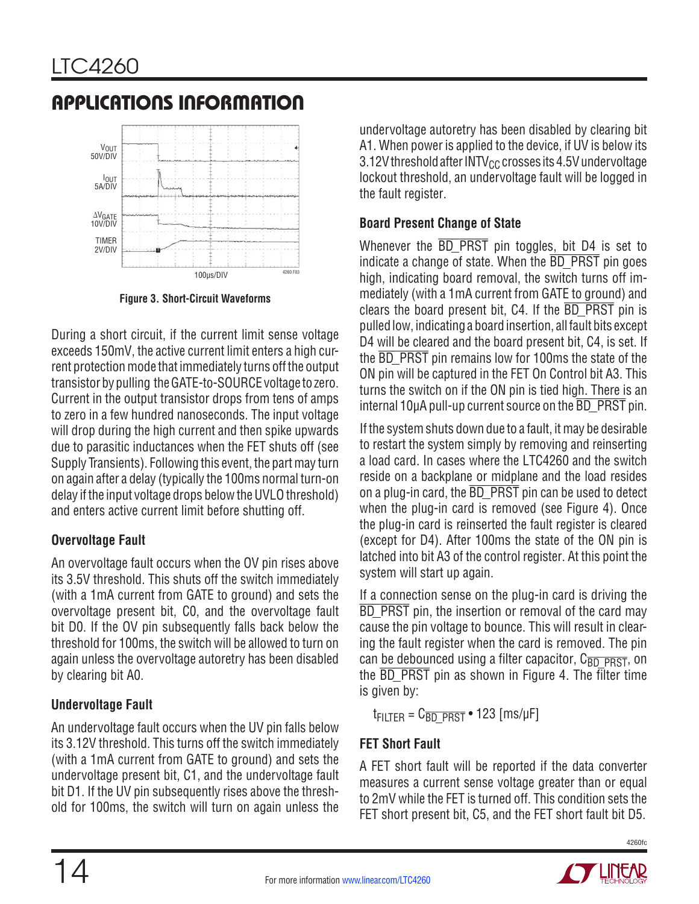

**Figure 3. Short-Circuit Waveforms**

During a short circuit, if the current limit sense voltage exceeds 150mV, the active current limit enters a high current protection mode that immediately turns off the output transistor by pulling the GATE-to-SOURCE voltage to zero. Current in the output transistor drops from tens of amps to zero in a few hundred nanoseconds. The input voltage will drop during the high current and then spike upwards due to parasitic inductances when the FET shuts off (see Supply Transients). Following this event, the part may turn on again after a delay (typically the 100ms normal turn-on delay if the input voltage drops below the UVLO threshold) and enters active current limit before shutting off.

#### **Overvoltage Fault**

An overvoltage fault occurs when the OV pin rises above its 3.5V threshold. This shuts off the switch immediately (with a 1mA current from GATE to ground) and sets the overvoltage present bit, C0, and the overvoltage fault bit D0. If the OV pin subsequently falls back below the threshold for 100ms, the switch will be allowed to turn on again unless the overvoltage autoretry has been disabled by clearing bit A0.

### **Undervoltage Fault**

An undervoltage fault occurs when the UV pin falls below its 3.12V threshold. This turns off the switch immediately (with a 1mA current from GATE to ground) and sets the undervoltage present bit, C1, and the undervoltage fault bit D1. If the UV pin subsequently rises above the threshold for 100ms, the switch will turn on again unless the

undervoltage autoretry has been disabled by clearing bit A1. When power is applied to the device, if UV is below its 3.12V threshold after  $INTV_{CC}$  crosses its 4.5V undervoltage lockout threshold, an undervoltage fault will be logged in the fault register.

### **Board Present Change of State**

Whenever the  $\overline{BD}$  PRST pin toggles, bit D4 is set to indicate a change of state. When the BD PRST pin goes high, indicating board removal, the switch turns off immediately (with a 1mA current from GATE to ground) and clears the board present bit,  $C4$ . If the  $\overline{BD}$  PRST pin is pulled low, indicating a board insertion, all fault bits except D4 will be cleared and the board present bit, C4, is set. If the **BD** PRST pin remains low for 100ms the state of the ON pin will be captured in the FET On Control bit A3. This turns the switch on if the ON pin is tied high. There is an internal  $10\mu A$  pull-up current source on the  $\overline{BD}$  PRST pin.

If the system shuts down due to a fault, it may be desirable to restart the system simply by removing and reinserting a load card. In cases where the LTC4260 and the switch reside on a backplane or midplane and the load resides on a plug-in card, the  $\overline{BD}$  PRST pin can be used to detect when the plug-in card is removed (see Figure 4). Once the plug-in card is reinserted the fault register is cleared (except for D4). After 100ms the state of the ON pin is latched into bit A3 of the control register. At this point the system will start up again.

If a connection sense on the plug-in card is driving the BD PRST pin, the insertion or removal of the card may cause the pin voltage to bounce. This will result in clearing the fault register when the card is removed. The pin can be debounced using a filter capacitor,  $C_{\overline{BD}}$   $\overline{P\text{RST}}$ , on the **BD\_PRST** pin as shown in Figure 4. The filter time is given by:

 $t_{FILTER} = C_{\overline{BD} \overline{PRST}}$  • 123 [ms/µF]

### **FET Short Fault**

A FET short fault will be reported if the data converter measures a current sense voltage greater than or equal to 2mV while the FET is turned off. This condition sets the FET short present bit, C5, and the FET short fault bit D5.



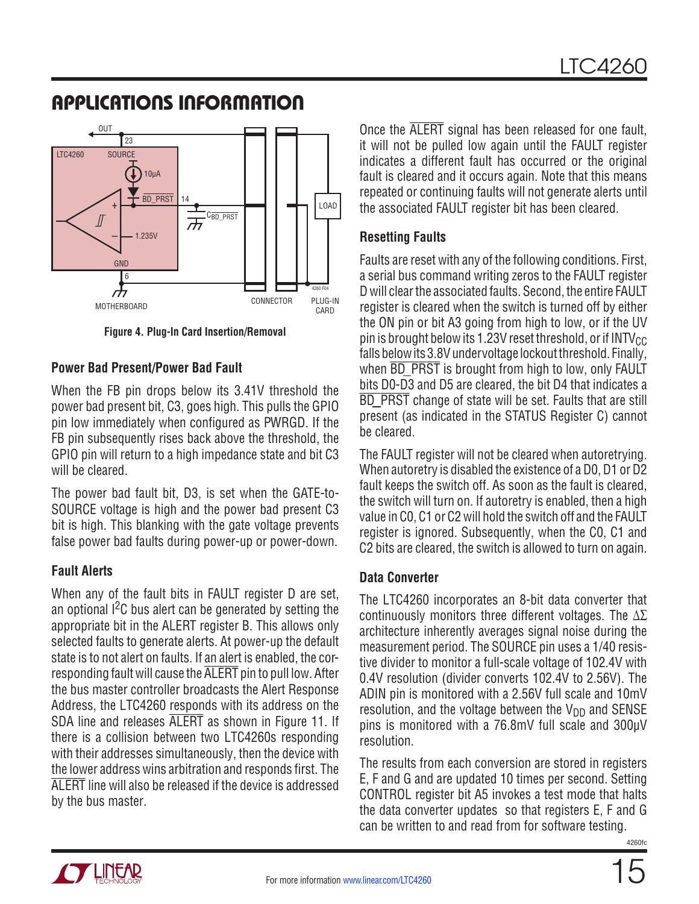#### Applications Information OUT [ 23 LTC4260 SOURCE 10µA BD\_PRST LOAD +  $\overline{C_{\text{BD\_PRST}}}$  $\sqrt{2}$ 1.235V GND 6  $\vec{r}$ 4260 F04 **MOTHERBOARD CONNECTOR PLUG-IN**<br>
CONNECTOR PLUG-IN

**Figure 4. Plug-In Card Insertion/Removal**

#### **Power Bad Present/Power Bad Fault**

When the FB pin drops below its 3.41V threshold the power bad present bit, C3, goes high. This pulls the GPIO pin low immediately when configured as PWRGD. If the FB pin subsequently rises back above the threshold, the GPIO pin will return to a high impedance state and bit C3 will be cleared.

The power bad fault bit, D3, is set when the GATE-to-SOURCE voltage is high and the power bad present C3 bit is high. This blanking with the gate voltage prevents false power bad faults during power-up or power-down.

#### **Fault Alerts**

When any of the fault bits in FAULT register D are set, an optional  $1<sup>2</sup>C$  bus alert can be generated by setting the appropriate bit in the ALERT register B. This allows only selected faults to generate alerts. At power-up the default state is to not alert on faults. If an alert is enabled, the corresponding fault will cause the ALERT pin to pull low. After the bus master controller broadcasts the Alert Response Address, the LTC4260 responds with its address on the SDA line and releases ALERT as shown in Figure 11. If there is a collision between two LTC4260s responding with their addresses simultaneously, then the device with the lower address wins arbitration and responds first. The ALERT line will also be released if the device is addressed by the bus master.

Once the ALERT signal has been released for one fault. it will not be pulled low again until the FAULT register indicates a different fault has occurred or the original fault is cleared and it occurs again. Note that this means repeated or continuing faults will not generate alerts until the associated FAULT register bit has been cleared.

#### **Resetting Faults**

CARD

Faults are reset with any of the following conditions. First, a serial bus command writing zeros to the FAULT register D will clear the associated faults. Second, the entire FAULT register is cleared when the switch is turned off by either the ON pin or bit A3 going from high to low, or if the UV pin is brought below its 1.23V reset threshold, or if  $INTV_{CC}$ falls below its 3.8V undervoltage lockout threshold. Finally, when **BD** PRST is brought from high to low, only FAULT bits D0-D3 and D5 are cleared, the bit D4 that indicates a BD PRST change of state will be set. Faults that are still present (as indicated in the STATUS Register C) cannot be cleared.

The FAULT register will not be cleared when autoretrying. When autoretry is disabled the existence of a D0, D1 or D2 fault keeps the switch off. As soon as the fault is cleared, the switch will turn on. If autoretry is enabled, then a high value in C0, C1 or C2 will hold the switch off and the FAULT register is ignored. Subsequently, when the C0, C1 and C2 bits are cleared, the switch is allowed to turn on again.

#### **Data Converter**

The LTC4260 incorporates an 8-bit data converter that continuously monitors three different voltages. The ∆∑ architecture inherently averages signal noise during the measurement period. The SOURCE pin uses a 1/40 resistive divider to monitor a full-scale voltage of 102.4V with 0.4V resolution (divider converts 102.4V to 2.56V). The ADIN pin is monitored with a 2.56V full scale and 10mV resolution, and the voltage between the  $V_{DD}$  and SENSE pins is monitored with a 76.8mV full scale and 300µV resolution.

The results from each conversion are stored in registers E, F and G and are updated 10 times per second. Setting CONTROL register bit A5 invokes a test mode that halts the data converter updates so that registers E, F and G can be written to and read from for software testing.

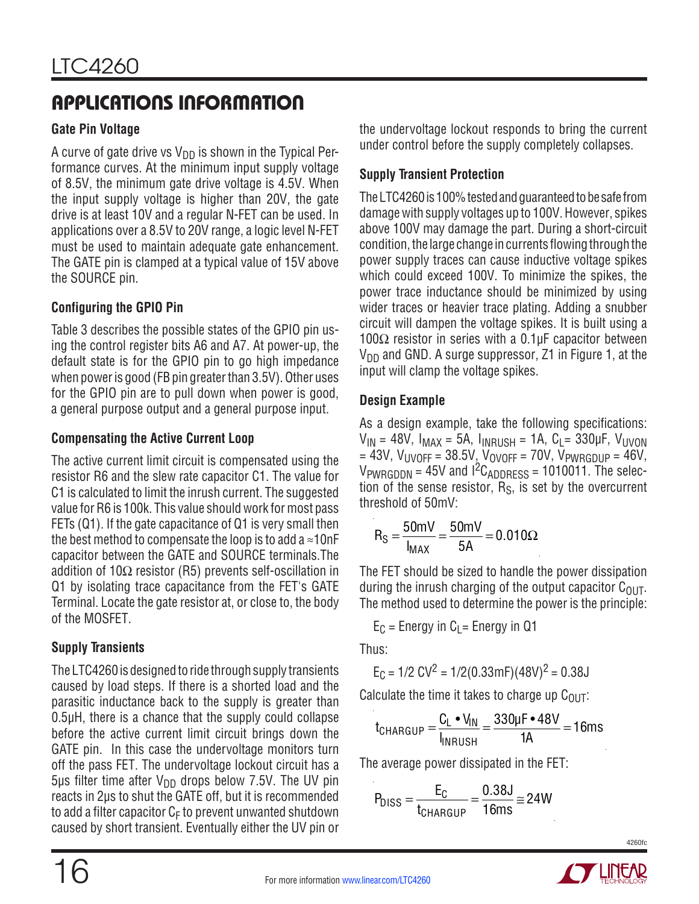### **Gate Pin Voltage**

A curve of gate drive vs  $V_{DD}$  is shown in the Typical Performance curves. At the minimum input supply voltage of 8.5V, the minimum gate drive voltage is 4.5V. When the input supply voltage is higher than 20V, the gate drive is at least 10V and a regular N-FET can be used. In applications over a 8.5V to 20V range, a logic level N-FET must be used to maintain adequate gate enhancement. The GATE pin is clamped at a typical value of 15V above the SOURCE pin.

### **Configuring the GPIO Pin**

Table 3 describes the possible states of the GPIO pin using the control register bits A6 and A7. At power-up, the default state is for the GPIO pin to go high impedance when power is good (FB pin greater than 3.5V). Other uses for the GPIO pin are to pull down when power is good, a general purpose output and a general purpose input.

### **Compensating the Active Current Loop**

The active current limit circuit is compensated using the resistor R6 and the slew rate capacitor C1. The value for C1 is calculated to limit the inrush current. The suggested value for R6 is 100k. This value should work for most pass FETs (Q1). If the gate capacitance of Q1 is very small then the best method to compensate the loop is to add a  $\approx$ 10nF capacitor between the GATE and SOURCE terminals.The addition of  $10\Omega$  resistor (R5) prevents self-oscillation in Q1 by isolating trace capacitance from the FET's GATE Terminal. Locate the gate resistor at, or close to, the body of the MOSFET.

### **Supply Transients**

The LTC4260 is designed to ride through supply transients caused by load steps. If there is a shorted load and the parasitic inductance back to the supply is greater than 0.5µH, there is a chance that the supply could collapse before the active current limit circuit brings down the GATE pin. In this case the undervoltage monitors turn off the pass FET. The undervoltage lockout circuit has a 5µs filter time after  $V_{DD}$  drops below 7.5V. The UV pin reacts in 2µs to shut the GATE off, but it is recommended to add a filter capacitor  $C_F$  to prevent unwanted shutdown caused by short transient. Eventually either the UV pin or

the undervoltage lockout responds to bring the current under control before the supply completely collapses.

### **Supply Transient Protection**

The LTC4260 is 100% tested and guaranteed to be safe from damage with supply voltages up to 100V. However, spikes above 100V may damage the part. During a short-circuit condition, the large change in currents flowing through the power supply traces can cause inductive voltage spikes which could exceed 100V. To minimize the spikes, the power trace inductance should be minimized by using wider traces or heavier trace plating. Adding a snubber circuit will dampen the voltage spikes. It is built using a 100Ω resistor in series with a 0.1µF capacitor between  $V_{DD}$  and GND. A surge suppressor, Z1 in Figure 1, at the input will clamp the voltage spikes.

### **Design Example**

As a design example, take the following specifications:  $V_{IN}$  = 48V,  $I_{MAX}$  = 5A,  $I_{INRUSH}$  = 1A,  $C_L$  = 330µF,  $V_{UVON}$  $= 43V$ ,  $V_{\text{UVOFF}} = 38.5V$ ,  $V_{\text{OVOFF}} = 70V$ ,  $V_{\text{PWRGDUP}} = 46V$ ,  $V_{PWRGDDN} = 45V$  and  $I^2C_{ADDRESS} = 1010011$ . The selection of the sense resistor,  $R<sub>S</sub>$ , is set by the overcurrent threshold of 50mV:

$$
R_S = \frac{50mV}{I_{MAX}} = \frac{50mV}{5A} = 0.010\Omega
$$

The FET should be sized to handle the power dissipation during the inrush charging of the output capacitor  $C_{\text{OUT}}$ . The method used to determine the power is the principle:

 $E_C$  = Energy in  $C_1$  = Energy in Q1

Thus:

$$
E_C = 1/2 CV^2 = 1/2(0.33 \text{mF})(48V)^2 = 0.38J
$$

Calculate the time it takes to charge up  $C_{\text{OUT}}$ :

$$
t_{\text{CHARGUP}} = \frac{C_{\text{L}} \cdot V_{\text{IN}}}{I_{\text{INRUSH}}} = \frac{330 \mu \text{F} \cdot 48 V}{1 \text{A}} = 16 \text{ms}
$$

The average power dissipated in the FET:

$$
P_{DISS} = \frac{E_C}{t_{CHARGUP}} = \frac{0.38J}{16ms} \approx 24W
$$

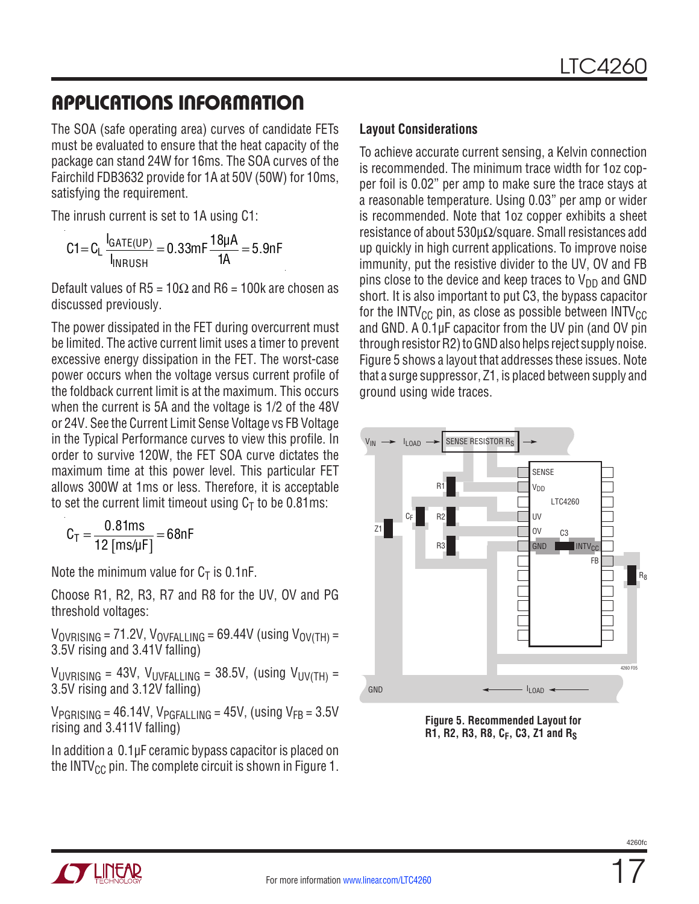The SOA (safe operating area) curves of candidate FETs must be evaluated to ensure that the heat capacity of the package can stand 24W for 16ms. The SOA curves of the Fairchild FDB3632 provide for 1A at 50V (50W) for 10ms, satisfying the requirement.

The inrush current is set to 1A using C1:

$$
C1 = C_L \frac{I_{GATE(UP)}}{I_{INRUSH}} = 0.33 mF \frac{18 \mu A}{1A} = 5.9 nF
$$

Default values of R5 = 10 $\Omega$  and R6 = 100k are chosen as discussed previously.

The power dissipated in the FET during overcurrent must be limited. The active current limit uses a timer to prevent excessive energy dissipation in the FET. The worst-case power occurs when the voltage versus current profile of the foldback current limit is at the maximum. This occurs when the current is 5A and the voltage is 1/2 of the 48V or 24V. See the Current Limit Sense Voltage vs FB Voltage in the Typical Performance curves to view this profile. In order to survive 120W, the FET SOA curve dictates the maximum time at this power level. This particular FET allows 300W at 1ms or less. Therefore, it is acceptable to set the current limit timeout using  $C_T$  to be 0.81ms:

$$
C_T = \frac{0.81 \text{ms}}{12 \text{ [ms/µF]}} = 68 \text{nF}
$$

Note the minimum value for  $C_T$  is 0.1nF.

Choose R1, R2, R3, R7 and R8 for the UV, OV and PG threshold voltages:

 $V_{\text{OVRISING}} = 71.2V$ ,  $V_{\text{OVFALLING}} = 69.44V$  (using  $V_{\text{OV(TH)}} =$ 3.5V rising and 3.41V falling)

 $V_{UVRISING}$  = 43V,  $V_{UVFAIIING}$  = 38.5V, (using  $V_{UV(TH)}$  = 3.5V rising and 3.12V falling)

 $V_{PGRISING} = 46.14V$ ,  $V_{PGFALLING} = 45V$ , (using  $V_{FB} = 3.5V$ rising and 3.411V falling)

In addition a 0.1µF ceramic bypass capacitor is placed on the INTV $_{\text{CC}}$  pin. The complete circuit is shown in Figure 1.

#### **Layout Considerations**

To achieve accurate current sensing, a Kelvin connection is recommended. The minimum trace width for 1oz copper foil is 0.02" per amp to make sure the trace stays at a reasonable temperature. Using 0.03" per amp or wider is recommended. Note that 1oz copper exhibits a sheet resistance of about 530µΩ/square. Small resistances add up quickly in high current applications. To improve noise immunity, put the resistive divider to the UV, OV and FB pins close to the device and keep traces to  $V_{DD}$  and GND short. It is also important to put C3, the bypass capacitor for the INTV<sub>CC</sub> pin, as close as possible between INTV<sub>CC</sub> and GND. A 0.1µF capacitor from the UV pin (and OV pin through resistor R2) toGNDalso helps reject supplynoise. Figure 5 shows a layout that addresses these issues. Note that a surge suppressor, Z1, is placed between supply and ground using wide traces.



**Figure 5. Recommended Layout for R1, R2, R3, R8, CF, C3, Z1 and RS**

![](_page_16_Picture_18.jpeg)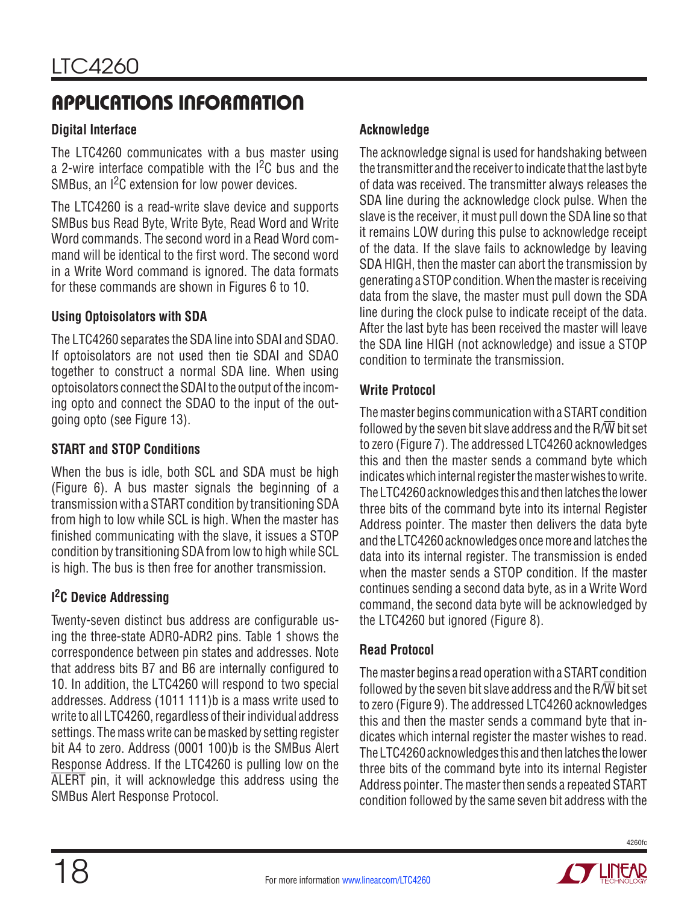### **Digital Interface**

The LTC4260 communicates with a bus master using a 2-wire interface compatible with the  $1<sup>2</sup>C$  bus and the SMBus, an  $1^2C$  extension for low power devices.

The LTC4260 is a read-write slave device and supports SMBus bus Read Byte, Write Byte, Read Word and Write Word commands. The second word in a Read Word command will be identical to the first word. The second word in a Write Word command is ignored. The data formats for these commands are shown in Figures 6 to 10.

#### **Using Optoisolators with SDA**

The LTC4260 separates the SDA line into SDAI and SDAO. If optoisolators are not used then tie SDAI and SDAO together to construct a normal SDA line. When using optoisolators connect the SDAI to the output of the incoming opto and connect the SDAO to the input of the outgoing opto (see Figure 13).

#### **START and STOP Conditions**

When the bus is idle, both SCL and SDA must be high (Figure 6). A bus master signals the beginning of a transmission with a START condition by transitioning SDA from high to low while SCL is high. When the master has finished communicating with the slave, it issues a STOP condition by transitioning SDA from low to high while SCL is high. The bus is then free for another transmission.

### **I 2C Device Addressing**

Twenty-seven distinct bus address are configurable using the three-state ADR0-ADR2 pins. Table 1 shows the correspondence between pin states and addresses. Note that address bits B7 and B6 are internally configured to 10. In addition, the LTC4260 will respond to two special addresses. Address (1011 111)b is a mass write used to write to all LTC4260, regardless of their individual address settings. The mass write can be masked by setting register bit A4 to zero. Address (0001 100)b is the SMBus Alert Response Address. If the LTC4260 is pulling low on the ALERT pin, it will acknowledge this address using the SMBus Alert Response Protocol.

### **Acknowledge**

The acknowledge signal is used for handshaking between the transmitter and the receiver to indicate that the last byte of data was received. The transmitter always releases the SDA line during the acknowledge clock pulse. When the slave is the receiver, it must pull down the SDA line so that it remains LOW during this pulse to acknowledge receipt of the data. If the slave fails to acknowledge by leaving SDA HIGH, then the master can abort the transmission by generating a STOPcondition. Whenthemasteris receiving data from the slave, the master must pull down the SDA line during the clock pulse to indicate receipt of the data. After the last byte has been received the master will leave the SDA line HIGH (not acknowledge) and issue a STOP condition to terminate the transmission.

#### **Write Protocol**

The master begins communication with a START condition followed by the seven bit slave address and the  $R/\overline{W}$  bit set to zero (Figure 7). The addressed LTC4260 acknowledges this and then the master sends a command byte which indicates which internal register the master wishes to write. The LTC4260 acknowledges this and then latches the lower three bits of the command byte into its internal Register Address pointer. The master then delivers the data byte and the LTC4260 acknowledges once more and latches the data into its internal register. The transmission is ended when the master sends a STOP condition. If the master continues sending a second data byte, as in a Write Word command, the second data byte will be acknowledged by the LTC4260 but ignored (Figure 8).

#### **Read Protocol**

The master begins a read operation with a START condition followed by the seven bit slave address and the  $R/\overline{W}$  bit set to zero (Figure 9). The addressed LTC4260 acknowledges this and then the master sends a command byte that indicates which internal register the master wishes to read. The LTC4260 acknowledges this and then latches the lower three bits of the command byte into its internal Register Address pointer. The master then sends a repeated START condition followed by the same seven bit address with the

![](_page_17_Picture_17.jpeg)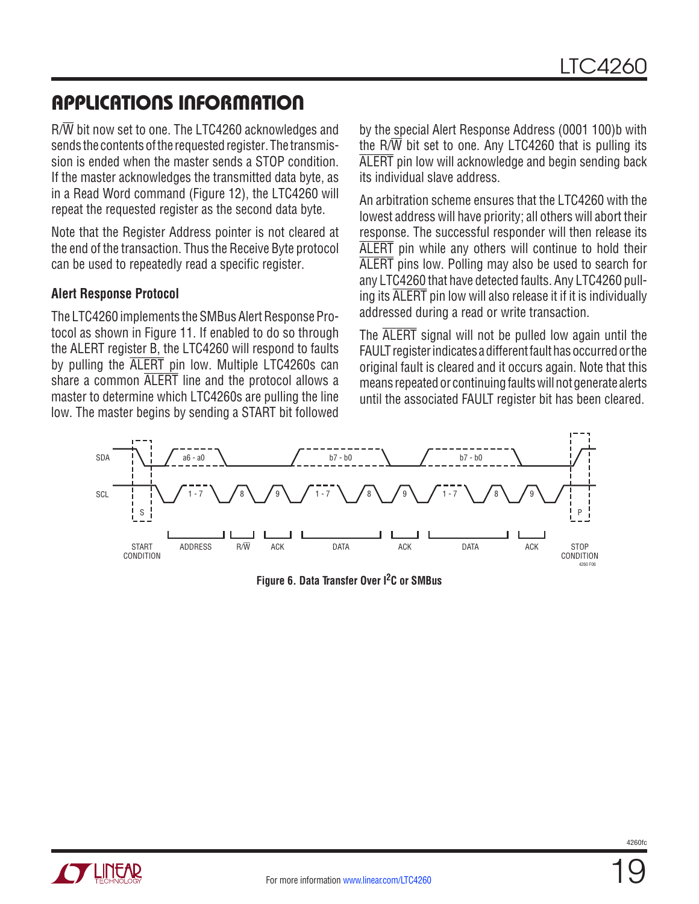R/W bit now set to one. The LTC4260 acknowledges and sends the contents of the requested register. The transmission is ended when the master sends a STOP condition. If the master acknowledges the transmitted data byte, as in a Read Word command (Figure 12), the LTC4260 will repeat the requested register as the second data byte.

Note that the Register Address pointer is not cleared at the end of the transaction. Thus the Receive Byte protocol can be used to repeatedly read a specific register.

#### **Alert Response Protocol**

The LTC4260 implements the SMBus Alert Response Protocol as shown in Figure 11. If enabled to do so through the ALERT register B, the LTC4260 will respond to faults by pulling the ALERT pin low. Multiple LTC4260s can share a common ALERT line and the protocol allows a master to determine which LTC4260s are pulling the line low. The master begins by sending a START bit followed by the special Alert Response Address (0001 100)b with the  $R/\overline{W}$  bit set to one. Any LTC4260 that is pulling its ALERT pin low will acknowledge and begin sending back its individual slave address.

An arbitration scheme ensures that the LTC4260 with the lowest address will have priority; all others will abort their response. The successful responder will then release its ALERT pin while any others will continue to hold their ALERT pins low. Polling may also be used to search for any LTC4260 that have detected faults. Any LTC4260 pulling its ALERT pin low will also release it if it is individually addressed during a read or write transaction.

The ALERT signal will not be pulled low again until the FAULT register indicates a different fault has occurred or the original fault is cleared and it occurs again. Note that this means repeated or continuing faults will not generate alerts until the associated FAULT register bit has been cleared.

![](_page_18_Figure_9.jpeg)

**Figure 6. Data Transfer Over I2C or SMBus**

![](_page_18_Picture_11.jpeg)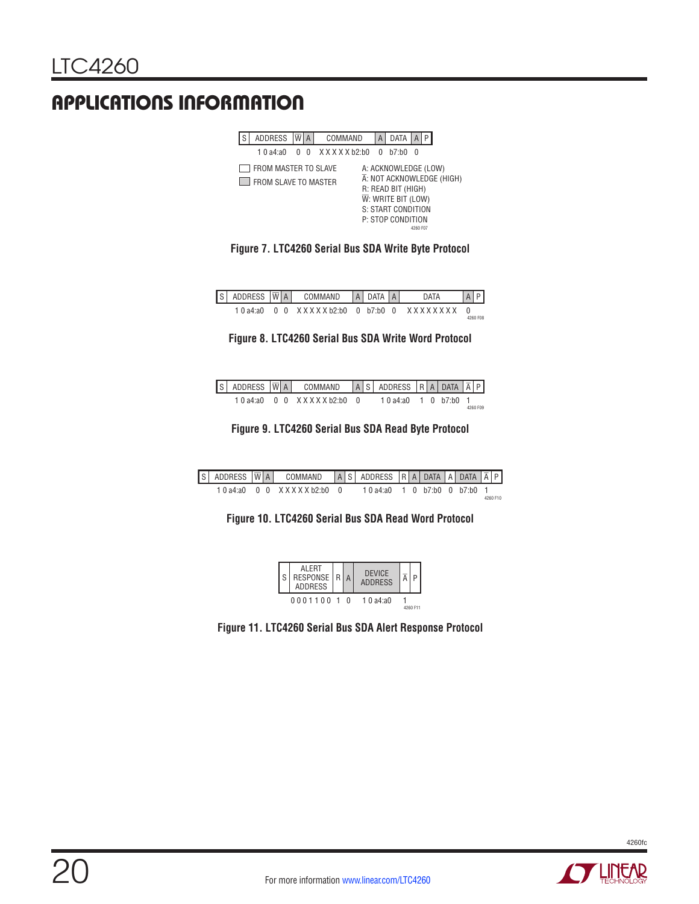| <b>ADDRESS</b>                               | W | A | COMMAND         |  | <b>DATA</b>                                                                                                               |          |                           |
|----------------------------------------------|---|---|-----------------|--|---------------------------------------------------------------------------------------------------------------------------|----------|---------------------------|
| 1.0 $a4:20$                                  |   | U | X X X X X b2:b0 |  | $h7 \cdot h0$                                                                                                             | U        |                           |
| FROM MASTER TO SLAVE<br>FROM SLAVE TO MASTER |   |   |                 |  | A: ACKNOWLEDGE (LOW)<br>R: READ BIT (HIGH)<br>$\overline{W}$ : WRITE BIT (LOW)<br>S: START CONDITION<br>P: STOP CONDITION | 4260 F07 | A: NOT ACKNOWLEDGE (HIGH) |

**Figure 7. LTC4260 Serial Bus SDA Write Byte Protocol**

| s | ADDRESS $ \overline{w} $ a $ $ |    |     | COMMAND    | A I DATA  | $\overline{A}$ | <b>DATA</b>     |          |  |
|---|--------------------------------|----|-----|------------|-----------|----------------|-----------------|----------|--|
|   | 1 $0a4:20$                     | n. | - റ | XXXXXb2:b0 | 0 b7:b0 0 |                | x x x x x x x x | 4260 F08 |  |

**Figure 8. LTC4260 Serial Bus SDA Write Word Protocol**

|  |  | S ADDRESS $ \overline{W} A $ COMMAND $ A S $ ADDRESS $ R A $ DATA $ \overline{A} P $ |  |                         |  |  |          |
|--|--|--------------------------------------------------------------------------------------|--|-------------------------|--|--|----------|
|  |  | $10a4:20$ $0$ $0$ $X$ $X$ $X$ $X$ $h2 \cdot h0$ $0$                                  |  | $10a4:a0 + 10h7:b0 + 1$ |  |  | 4260 F09 |

**Figure 9. LTC4260 Serial Bus SDA Read Byte Protocol**

|  |  | S ADDRESS $\overline{W}$ A command $\overline{A}$ S address $R$ A data $\overline{A}$ Data $\overline{A}$ P |  |                                    |  |  |  |          |
|--|--|-------------------------------------------------------------------------------------------------------------|--|------------------------------------|--|--|--|----------|
|  |  | 1.0a4a0 0.0 XXXXXb2b0 0.                                                                                    |  | $10a4:a0 + 10 b7:b0 + 0 b7:b0 + 1$ |  |  |  | 4260 F10 |

**Figure 10. LTC4260 Serial Bus SDA Read Word Protocol**

![](_page_19_Figure_10.jpeg)

**Figure 11. LTC4260 Serial Bus SDA Alert Response Protocol**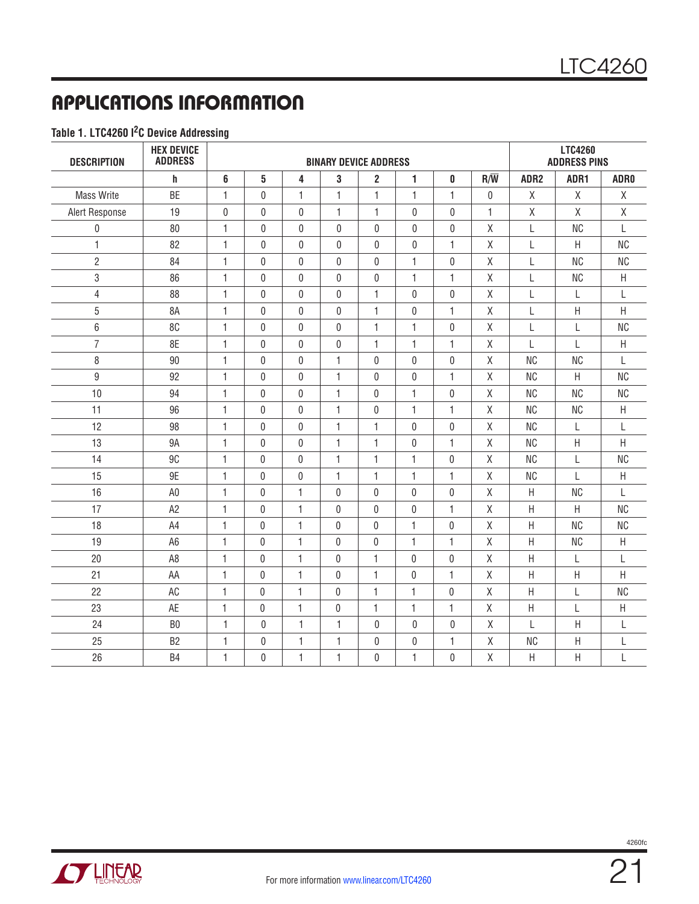#### **Table 1. LTC4260 I2C Device Addressing**

| <b>DESCRIPTION</b> | <b>HEX DEVICE</b><br><b>ADDRESS</b> |              |                  |              | <b>BINARY DEVICE ADDRESS</b> |                |                  |              | <b>LTC4260</b><br><b>ADDRESS PINS</b> |                  |             |                  |
|--------------------|-------------------------------------|--------------|------------------|--------------|------------------------------|----------------|------------------|--------------|---------------------------------------|------------------|-------------|------------------|
|                    | h                                   | 6            | 5                | 4            | 3                            | $\overline{2}$ | $\mathbf{1}$     | 0            | $R/\overline{W}$                      | ADR <sub>2</sub> | ADR1        | ADR <sub>0</sub> |
| <b>Mass Write</b>  | <b>BE</b>                           | 1            | $\mathbf{0}$     | $\mathbf{1}$ | 1                            | 1              | 1                | 1            | $\mathbf{0}$                          | Χ                | χ           | X                |
| Alert Response     | 19                                  | 0            | $\mathbf 0$      | $\mathbf{0}$ | $\mathbf{1}$                 | $\mathbf{1}$   | $\mathbf{0}$     | $\mathbf{0}$ | $\mathbf{1}$                          | χ                | $\mathsf X$ | $\mathsf X$      |
| $\boldsymbol{0}$   | 80                                  | 1            | 0                | $\mathbf{0}$ | 0                            | 0              | $\mathbf 0$      | 0            | Χ                                     | L                | <b>NC</b>   | L                |
| 1                  | 82                                  | 1            | $\mathbf 0$      | $\mathbf 0$  | $\mathbf 0$                  | $\mathbf{0}$   | $\mathbf 0$      | 1            | χ                                     | L                | $\sf H$     | <b>NC</b>        |
| $\overline{2}$     | 84                                  | 1            | 0                | $\mathbf{0}$ | $\pmb{0}$                    | 0              | $\mathbf{1}$     | $\pmb{0}$    | Χ                                     | L                | <b>NC</b>   | <b>NC</b>        |
| 3                  | 86                                  | $\mathbf{1}$ | 0                | $\Omega$     | $\mathbf 0$                  | 0              | $\mathbf{1}$     | $\mathbf{1}$ | Χ                                     | L                | <b>NC</b>   | $\sf H$          |
| $\overline{4}$     | 88                                  | $\mathbf{1}$ | $\mathbf{0}$     | $\mathbf{0}$ | $\mathbf{0}$                 | $\mathbf{1}$   | $\mathbf{0}$     | 0            | Χ                                     | L                | L           | $\mathbf{L}$     |
| 5                  | 8A                                  | 1            | $\mathbf 0$      | $\mathbf{0}$ | $\bf{0}$                     | $\mathbf{1}$   | $\mathbf{0}$     | 1            | Χ                                     | L                | Η           | $\sf H$          |
| $6\phantom{a}$     | 8C                                  | 1            | 0                | $\mathbf 0$  | $\boldsymbol{0}$             | 1              | $\mathbf{1}$     | 0            | Χ                                     | L                | L           | <b>NC</b>        |
| $\overline{7}$     | 8E                                  | 1            | $\pmb{0}$        | $\mathbf 0$  | $\boldsymbol{0}$             | 1              | 1                | 1            | Χ                                     | L                | L           | $\sf H$          |
| 8                  | 90                                  | $\mathbf{1}$ | $\mathbf 0$      | $\mathbf 0$  | $\mathbf{1}$                 | 0              | $\mathbf 0$      | 0            | Χ                                     | <b>NC</b>        | <b>NC</b>   | L                |
| $\overline{9}$     | 92                                  | $\mathbf{1}$ | $\mathbf{0}$     | $\mathbf{0}$ | $\mathbf{1}$                 | $\mathbf{0}$   | $\mathbf{0}$     | 1            | Χ                                     | <b>NC</b>        | H           | <b>NC</b>        |
| 10                 | 94                                  | $\mathbf{1}$ | $\mathbf{0}$     | $\mathbf{0}$ | $\mathbf{1}$                 | $\mathbf{0}$   | $\mathbf{1}$     | 0            | Χ                                     | <b>NC</b>        | <b>NC</b>   | <b>NC</b>        |
| 11                 | 96                                  | $\mathbf{1}$ | 0                | $\mathbf 0$  | $\mathbf{1}$                 | $\mathbf 0$    | $\mathbf{1}$     | $\mathbf{1}$ | $\mathsf{X}% _{0}$                    | <b>NC</b>        | <b>NC</b>   | $\sf H$          |
| 12                 | 98                                  | $\mathbf{1}$ | $\boldsymbol{0}$ | $\mathbf 0$  | $\mathbf{1}$                 | $\mathbf{1}$   | $\pmb{0}$        | 0            | Χ                                     | <b>NC</b>        | L           | L                |
| 13                 | <b>9A</b>                           | $\mathbf{1}$ | $\mathbf{0}$     | $\mathbf 0$  | $\mathbf{1}$                 | $\mathbf{1}$   | $\pmb{0}$        | $\mathbf{1}$ | $\mathsf{X}% _{0}$                    | <b>NC</b>        | $\sf H$     | $\mathsf{H}$     |
| 14                 | 9C                                  | $\mathbf{1}$ | $\mathbf{0}$     | $\mathbf{0}$ | $\mathbf{1}$                 | 1              | $\mathbf{1}$     | $\mathbf{0}$ | χ                                     | <b>NC</b>        | L           | <b>NC</b>        |
| 15                 | 9E                                  | $\mathbf{1}$ | $\mathbf{0}$     | $\mathbf{0}$ | 1                            | 1              | $\mathbf{1}$     | 1            | Χ                                     | <b>NC</b>        | L           | Н                |
| 16                 | A <sub>0</sub>                      | $\mathbf{1}$ | $\mathbf{0}$     | $\mathbf{1}$ | 0                            | 0              | $\mathbf{0}$     | 0            | Χ                                     | $\sf H$          | <b>NC</b>   | $\mathbf{I}$     |
| 17                 | A <sub>2</sub>                      | $\mathbf{1}$ | $\pmb{0}$        | $\mathbf{1}$ | 0                            | 0              | 0                | 1            | $\mathsf{X}$                          | $\sf H$          | $\sf H$     | <b>NC</b>        |
| 18                 | A4                                  | $\mathbf{1}$ | 0                | $\mathbf{1}$ | $\pmb{0}$                    | $\mathbf 0$    | $\mathbf{1}$     | $\pmb{0}$    | Χ                                     | $\sf H$          | <b>NC</b>   | <b>NC</b>        |
| 19                 | A <sub>6</sub>                      | $\mathbf{1}$ | $\mathbf 0$      | $\mathbf{1}$ | $\mathbf 0$                  | 0              | 1                | 1            | $\mathsf{X}$                          | $\sf H$          | <b>NC</b>   | H                |
| 20                 | A <sub>8</sub>                      | $\mathbf{1}$ | $\mathbf{0}$     | $\mathbf{1}$ | $\mathbf{0}$                 | 1              | $\mathbf{0}$     | 0            | $\mathsf{X}$                          | $\sf H$          | L           | L                |
| 21                 | AA                                  | 1            | 0                | $\mathbf{1}$ | 0                            | 1              | 0                | 1            | Χ                                     | H                | Н           | H                |
| 22                 | AC                                  | $\mathbf{1}$ | $\boldsymbol{0}$ | $\mathbf{1}$ | $\pmb{0}$                    | $\mathbf{1}$   | $\mathbf{1}$     | $\pmb{0}$    | χ                                     | H                | L           | <b>NC</b>        |
| 23                 | AE                                  | 1            | 0                | $\mathbf{1}$ | $\pmb{0}$                    | 1              | 1                | 1            | $\mathsf X$                           | Η                | L           | $\sf H$          |
| 24                 | B <sub>0</sub>                      | 1            | 0                | 1            | $\mathbf{1}$                 | 0              | $\mathbf 0$      | 0            | Χ                                     | L                | Η           | L                |
| 25                 | B <sub>2</sub>                      | 1            | $\pmb{0}$        | $\mathbf{1}$ | $\mathbf{1}$                 | 0              | $\boldsymbol{0}$ | $\mathbf{1}$ | X                                     | <b>NC</b>        | Η           | L                |
| 26                 | B <sub>4</sub>                      | 1            | $\Omega$         | $\mathbf{1}$ | $\mathbf{1}$                 | $\Omega$       | $\mathbf{1}$     | $\mathbf{0}$ | $\mathsf{X}$                          | Η                | Η           | L                |

![](_page_20_Picture_4.jpeg)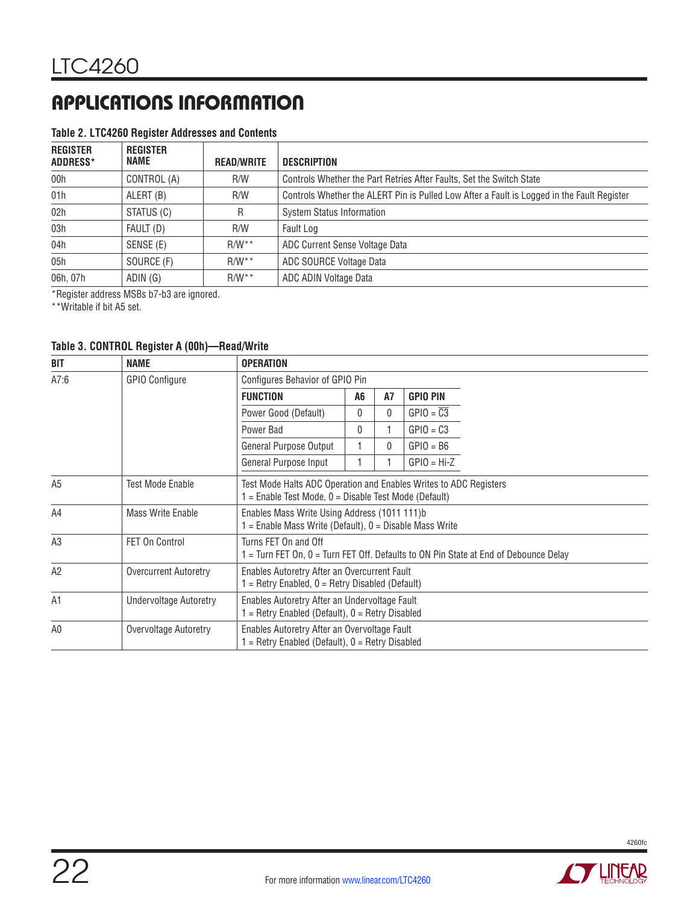#### **Table 2. LTC4260 Register Addresses and Contents**

| <b>REGISTER</b><br>ADDRESS* | <b>REGISTER</b><br>NAME | <b>READ/WRITE</b>       | DESCRIPTION                                                                                |
|-----------------------------|-------------------------|-------------------------|--------------------------------------------------------------------------------------------|
| 00h                         | CONTROL (A)             | R/W                     | Controls Whether the Part Retries After Faults, Set the Switch State                       |
| 01h                         | ALERT (B)               | R/W                     | Controls Whether the ALERT Pin is Pulled Low After a Fault is Logged in the Fault Register |
| 02h                         | STATUS (C)              | R.                      | <b>System Status Information</b>                                                           |
| 03h                         | FAULT (D)               | R/W                     | Fault Log                                                                                  |
| 04h                         | SENSE (E)               | $R/W^{\star}{}^{\star}$ | ADC Current Sense Voltage Data                                                             |
| 05h                         | SOURCE (F)              | $R/W^{\star}$           | ADC SOURCE Voltage Data                                                                    |
| 06h, 07h                    | ADIN (G)                | $R/W^*$                 | ADC ADIN Voltage Data                                                                      |

\*Register address MSBs b7-b3 are ignored.

\*\*Writable if bit A5 set.

#### **Table 3. CONTROL Register A (00h)—Read/Write**

| <b>BIT</b>     | <b>NAME</b>              | <b>OPERATION</b>                                                                                                             |          |           |                        |  |
|----------------|--------------------------|------------------------------------------------------------------------------------------------------------------------------|----------|-----------|------------------------|--|
| A7:6           | <b>GPIO Configure</b>    | Configures Behavior of GPIO Pin                                                                                              |          |           |                        |  |
|                |                          | <b>FUNCTION</b>                                                                                                              | A6       | <b>A7</b> | <b>GPIO PIN</b>        |  |
|                |                          | Power Good (Default)                                                                                                         | $\Omega$ | 0         | $GPIO = \overline{C3}$ |  |
|                |                          | Power Bad                                                                                                                    | $\Omega$ |           | $GPIO = C3$            |  |
|                |                          | General Purpose Output                                                                                                       |          | 0         | $GPIO = B6$            |  |
|                |                          | General Purpose Input                                                                                                        |          |           | $GPIO = Hi-Z$          |  |
| A <sub>5</sub> | <b>Test Mode Enable</b>  | Test Mode Halts ADC Operation and Enables Writes to ADC Registers<br>$=$ Enable Test Mode, $0 =$ Disable Test Mode (Default) |          |           |                        |  |
| A4             | <b>Mass Write Enable</b> | Enables Mass Write Using Address (1011 111)b<br>$=$ Enable Mass Write (Default), $0 =$ Disable Mass Write                    |          |           |                        |  |
| A3             | <b>FET On Control</b>    | Turns FET On and Off<br>$=$ Turn FET On, 0 = Turn FET Off. Defaults to ON Pin State at End of Debounce Delay                 |          |           |                        |  |
| A2             | Overcurrent Autoretry    | Enables Autoretry After an Overcurrent Fault<br>1 = Retry Enabled, 0 = Retry Disabled (Default)                              |          |           |                        |  |
| A <sub>1</sub> | Undervoltage Autoretry   | Enables Autoretry After an Undervoltage Fault<br>$=$ Retry Enabled (Default), $0 =$ Retry Disabled                           |          |           |                        |  |
| A <sub>0</sub> | Overvoltage Autoretry    | Enables Autoretry After an Overvoltage Fault<br>$=$ Retry Enabled (Default), $0 =$ Retry Disabled                            |          |           |                        |  |

![](_page_21_Picture_8.jpeg)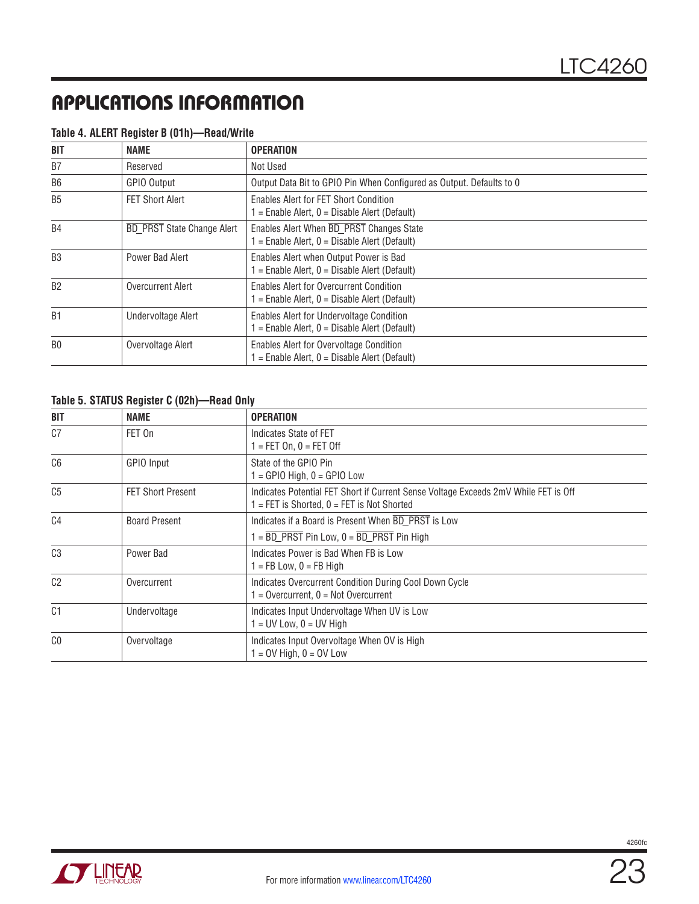| <b>BIT</b>     | <b>NAME</b>                       | <b>OPERATION</b>                                                                                |
|----------------|-----------------------------------|-------------------------------------------------------------------------------------------------|
| B7             | Reserved                          | Not Used                                                                                        |
| B <sub>6</sub> | GPIO Output                       | Output Data Bit to GPIO Pin When Configured as Output. Defaults to 0                            |
| B <sub>5</sub> | FET Short Alert                   | Enables Alert for FET Short Condition<br>$=$ Enable Alert, $0 =$ Disable Alert (Default)        |
| B <sub>4</sub> | <b>BD PRST State Change Alert</b> | Enables Alert When BD_PRST Changes State<br>$=$ Enable Alert, $0 =$ Disable Alert (Default)     |
| B <sub>3</sub> | Power Bad Alert                   | Enables Alert when Output Power is Bad<br>$=$ Enable Alert, $0 =$ Disable Alert (Default)       |
| B <sub>2</sub> | <b>Overcurrent Alert</b>          | <b>Enables Alert for Overcurrent Condition</b><br>$=$ Enable Alert, 0 = Disable Alert (Default) |
| B <sub>1</sub> | Undervoltage Alert                | Enables Alert for Undervoltage Condition<br>$=$ Enable Alert, $0 =$ Disable Alert (Default)     |
| B <sub>0</sub> | Overvoltage Alert                 | Enables Alert for Overvoltage Condition<br>$=$ Enable Alert, $0 =$ Disable Alert (Default)      |

#### **Table 4. ALERT Register B (01h)—Read/Write**

#### **Table 5. STATUS Register C (02h)—Read Only**

| BIT            | NAME                     | <b>OPERATION</b>                                                                                                                      |
|----------------|--------------------------|---------------------------------------------------------------------------------------------------------------------------------------|
| C <sub>7</sub> | FET On                   | Indicates State of FET<br>$1 = FET On, 0 = FET Off$                                                                                   |
| C6             | GPIO Input               | State of the GPIO Pin<br>$=$ GPIO High, $0 =$ GPIO Low                                                                                |
| C <sub>5</sub> | <b>FET Short Present</b> | Indicates Potential FET Short if Current Sense Voltage Exceeds 2mV While FET is Off<br>$1 = FET$ is Shorted, $0 = FET$ is Not Shorted |
| C <sub>4</sub> | <b>Board Present</b>     | Indicates if a Board is Present When BD PRST is Low<br>$1 = \overline{BD}$ PRST Pin Low, $0 = \overline{BD}$ PRST Pin High            |
| C <sub>3</sub> | Power Bad                | Indicates Power is Bad When FB is Low<br>$1 = FB$ Low, $0 = FB$ High                                                                  |
| C <sub>2</sub> | Overcurrent              | Indicates Overcurrent Condition During Cool Down Cycle<br>$=$ Overcurrent, $0 =$ Not Overcurrent                                      |
| C <sub>1</sub> | Undervoltage             | Indicates Input Undervoltage When UV is Low<br>$1 = UV$ Low, $0 = UV$ High                                                            |
| C <sub>0</sub> | Overvoltage              | Indicates Input Overvoltage When OV is High<br>$=$ OV High, $0 =$ OV Low                                                              |

![](_page_22_Picture_6.jpeg)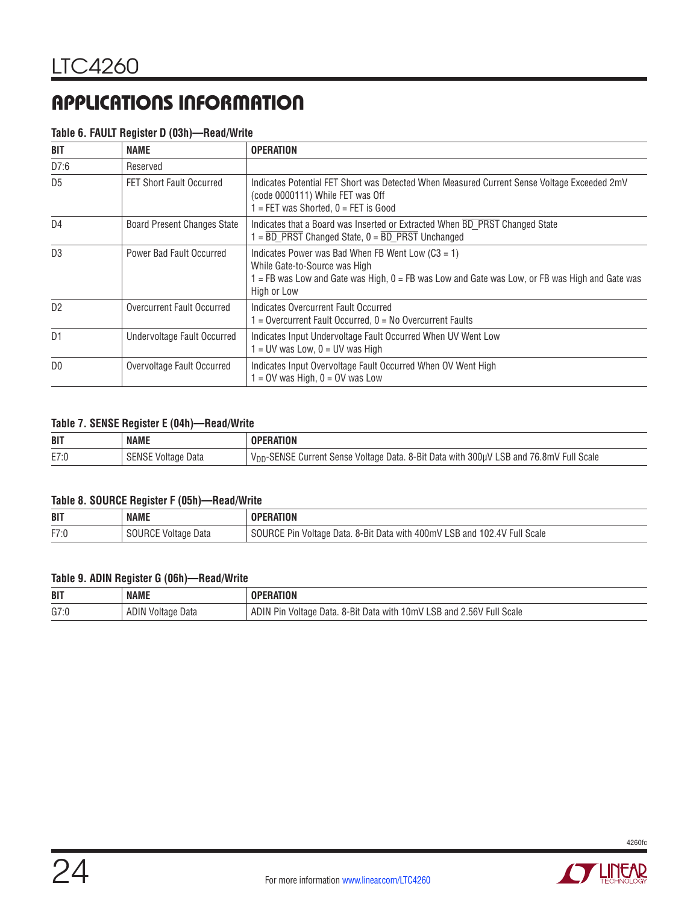|  |  | Table 6. FAULT Register D (03h)-Read/Write |
|--|--|--------------------------------------------|
|  |  |                                            |

| <b>BIT</b>     | <b>NAME</b>                        | <b>OPERATION</b>                                                                                                                                                                                        |
|----------------|------------------------------------|---------------------------------------------------------------------------------------------------------------------------------------------------------------------------------------------------------|
| D7:6           | Reserved                           |                                                                                                                                                                                                         |
| D <sub>5</sub> | <b>FET Short Fault Occurred</b>    | Indicates Potential FET Short was Detected When Measured Current Sense Voltage Exceeded 2mV<br>(code 0000111) While FET was Off<br>$=$ FET was Shorted, $0 =$ FET is Good                               |
| D <sub>4</sub> | <b>Board Present Changes State</b> | Indicates that a Board was Inserted or Extracted When BD PRST Changed State<br>$=$ BD PRST Changed State, $0 =$ BD PRST Unchanged                                                                       |
| D <sub>3</sub> | Power Bad Fault Occurred           | Indicates Power was Bad When FB Went Low $(C3 = 1)$<br>While Gate-to-Source was High<br>$=$ FB was Low and Gate was High, $0 =$ FB was Low and Gate was Low, or FB was High and Gate was<br>High or Low |
| D <sub>2</sub> | Overcurrent Fault Occurred         | Indicates Overcurrent Fault Occurred<br>$=$ Overcurrent Fault Occurred, $0 =$ No Overcurrent Faults                                                                                                     |
| D <sub>1</sub> | Undervoltage Fault Occurred        | Indicates Input Undervoltage Fault Occurred When UV Went Low<br>$=$ UV was Low, 0 = UV was High                                                                                                         |
| D <sub>0</sub> | Overvoltage Fault Occurred         | Indicates Input Overvoltage Fault Occurred When OV Went High<br>$=$ OV was High, $0 =$ OV was Low                                                                                                       |

#### **Table 7. SENSE Register E (04h)—Read/Write**

| <b>BIT</b> | <b>NAME</b>        | ERATION                                                                                     |
|------------|--------------------|---------------------------------------------------------------------------------------------|
| E7:0       | SENSE Voltage Data | )-SENSE Current Sense Voltage Data. 8-Bit Data with 300µV LSB and 76.8mV Full Scale<br>VDD- |

#### **Table 8. SOURCE Register F (05h)—Read/Write**

| <b>BIT</b> | <b>NAME</b>            | RATION                                                                                                                          |
|------------|------------------------|---------------------------------------------------------------------------------------------------------------------------------|
| F7:0       | Data<br>oltage<br>'RUL | LSE<br><b>Full Scale</b><br>400mV<br>∩∩ י<br>4V<br>. 8-Bit Data <sup>,</sup><br>™URL.<br>Data.<br>and<br>with<br>Voltage<br>۲ır |

#### **Table 9. ADIN Register G (06h)—Read/Write**

| <b>BIT</b> | <b>NAME</b>             | <b>RATION</b>                                                                                  |
|------------|-------------------------|------------------------------------------------------------------------------------------------|
| G7:0       | ADIN<br>Data<br>Voltage | 2.56V Full Scale<br>LSB and 2<br>. 8-Bit Data with 10mV I<br>ADIN<br>Pin<br>· Data.<br>Voltage |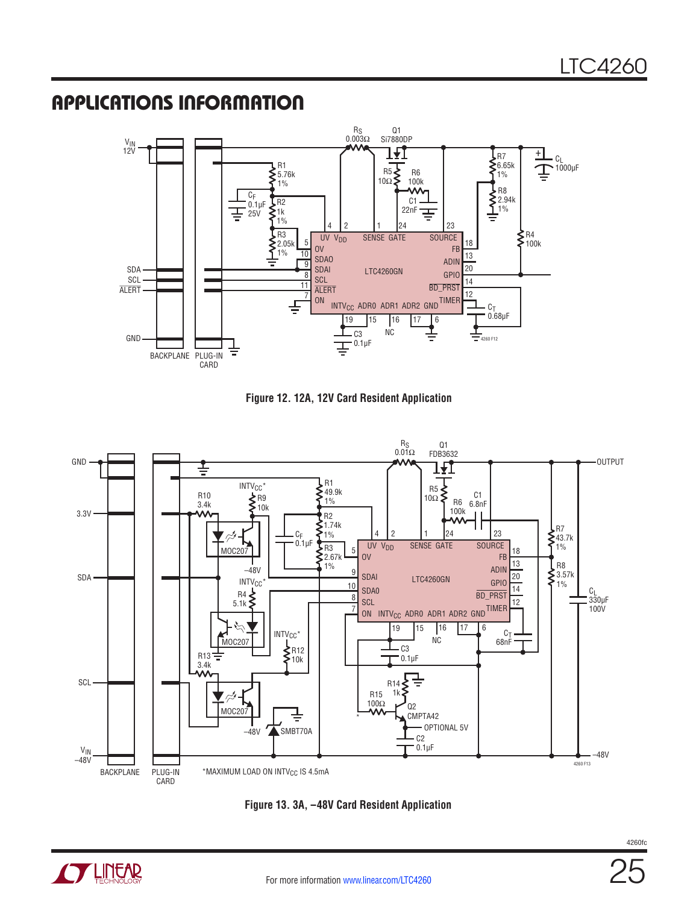![](_page_24_Figure_2.jpeg)

![](_page_24_Figure_3.jpeg)

![](_page_24_Figure_4.jpeg)

![](_page_24_Figure_5.jpeg)

![](_page_24_Picture_6.jpeg)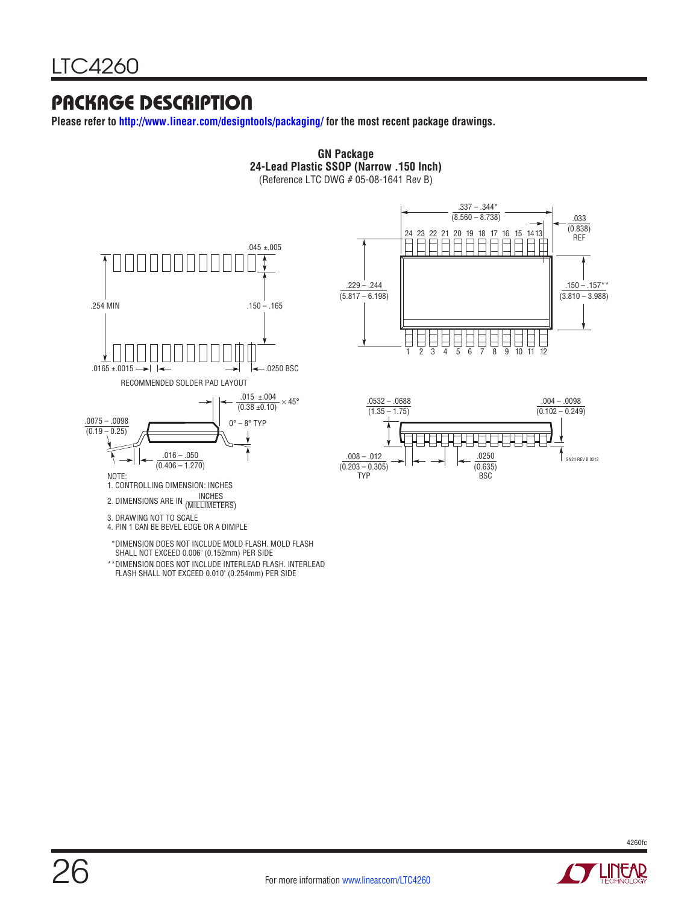### Package Description

**Please refer to http://www.linear.com/designtools/packaging/ for the most recent package drawings.**

![](_page_25_Figure_3.jpeg)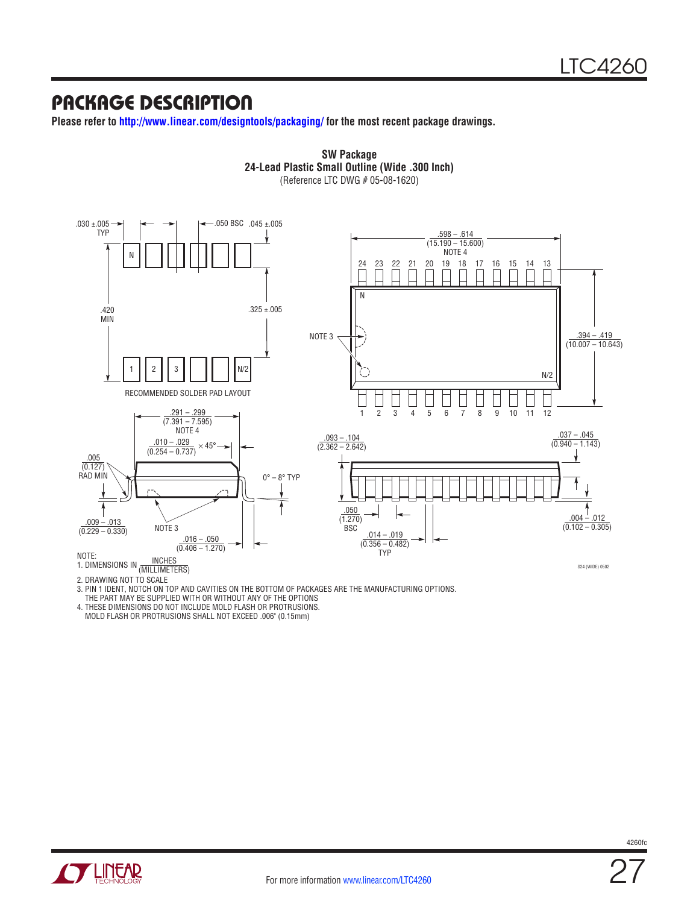### Package Description

**Please refer to http://www.linear.com/designtools/packaging/ for the most recent package drawings.**

![](_page_26_Figure_3.jpeg)

**SW Package 24-Lead Plastic Small Outline (Wide .300 Inch)**

2. DRAWING NOT TO SCALE

3. PIN 1 IDENT, NOTCH ON TOP AND CAVITIES ON THE BOTTOM OF PACKAGES ARE THE MANUFACTURING OPTIONS.

THE PART MAY BE SUPPLIED WITH OR WITHOUT ANY OF THE OPTIONS

4. THESE DIMENSIONS DO NOT INCLUDE MOLD FLASH OR PROTRUSIONS.

MOLD FLASH OR PROTRUSIONS SHALL NOT EXCEED .006" (0.15mm)

![](_page_26_Picture_10.jpeg)

27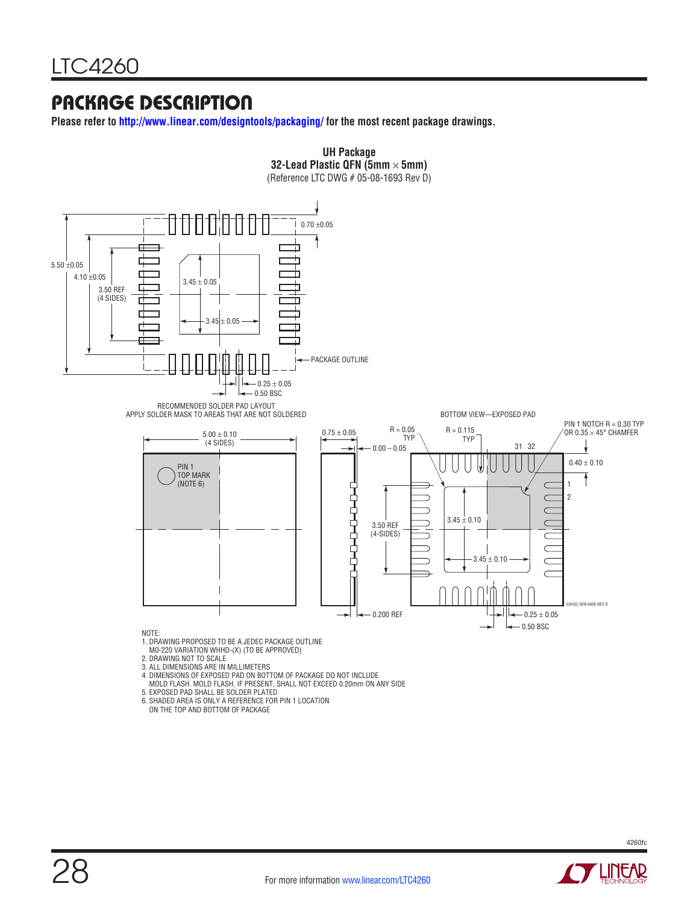### Package Description

**Please refer to http://www.linear.com/designtools/packaging/ for the most recent package drawings.**

![](_page_27_Figure_3.jpeg)

![](_page_27_Picture_5.jpeg)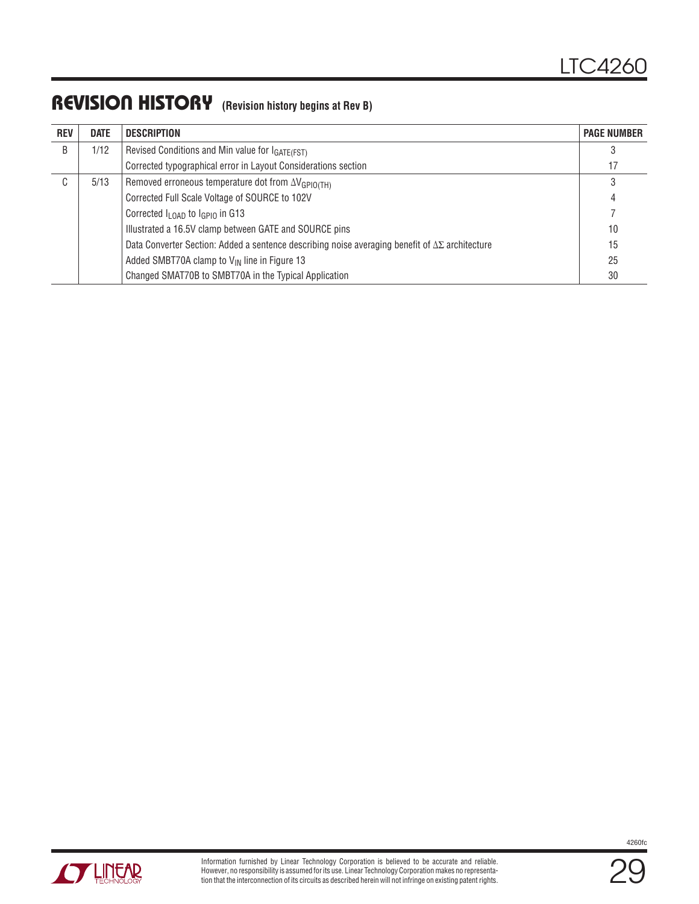### REVISION HISTORY (Revision history begins at Rev B)

| <b>REV</b>  | <b>DATE</b> | <b>DESCRIPTION</b>                                                                                         | <b>PAGE NUMBER</b> |
|-------------|-------------|------------------------------------------------------------------------------------------------------------|--------------------|
| B           | 1/12        | Revised Conditions and Min value for IGATE(FST)                                                            |                    |
|             |             | Corrected typographical error in Layout Considerations section                                             | 17                 |
| $\sim$<br>U | 5/13        | Removed erroneous temperature dot from $\Delta V_{\text{GPIO(TH)}}$                                        |                    |
|             |             | Corrected Full Scale Voltage of SOURCE to 102V                                                             | 4                  |
|             |             | Corrected $I_{\text{LOAD}}$ to $I_{\text{GPIO}}$ in G13                                                    |                    |
|             |             | Illustrated a 16.5V clamp between GATE and SOURCE pins                                                     | 10                 |
|             |             | Data Converter Section: Added a sentence describing noise averaging benefit of $\Delta\Sigma$ architecture | 15                 |
|             |             | Added SMBT70A clamp to $V_{IN}$ line in Figure 13                                                          | 25                 |
|             |             | Changed SMAT70B to SMBT70A in the Typical Application                                                      | 30                 |

![](_page_28_Picture_3.jpeg)

![](_page_28_Picture_5.jpeg)